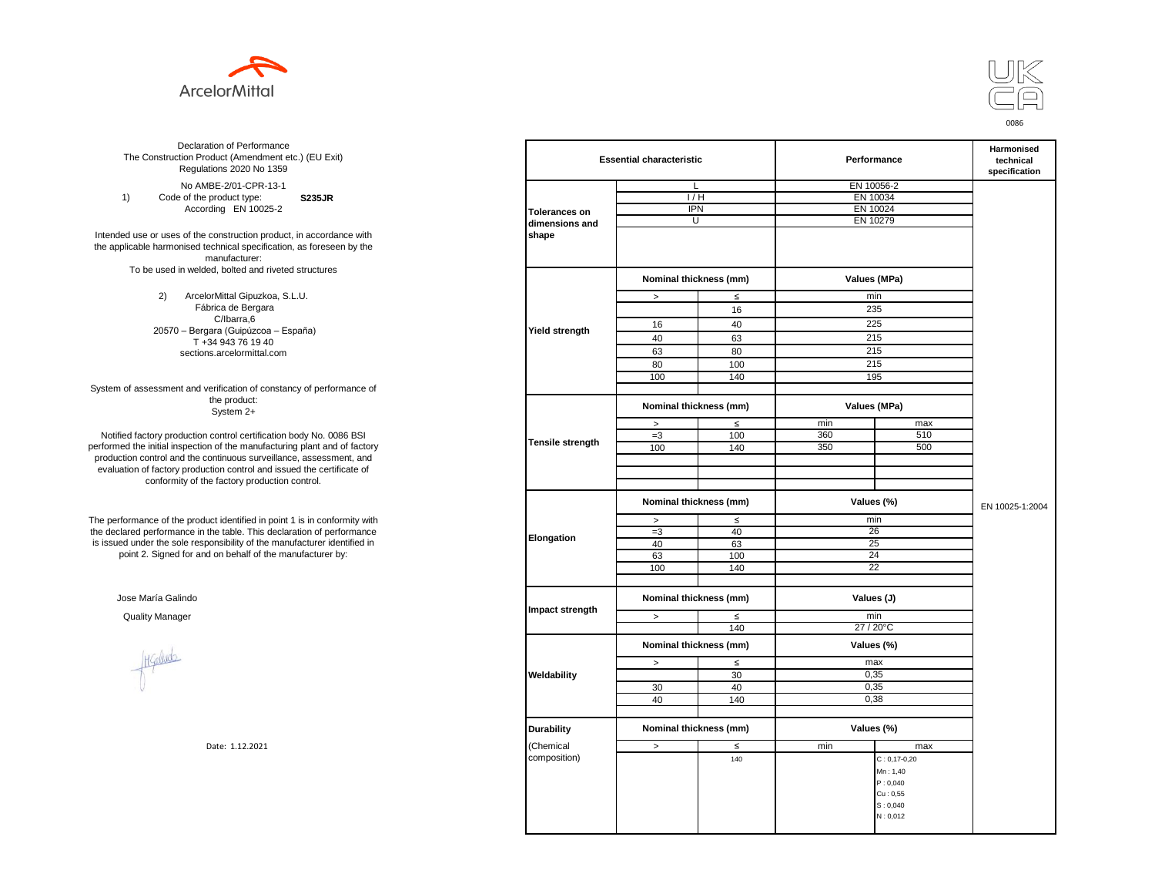



**S235JR** No AMBE-2/01-CPR-13-1 1) Code of the product type: According EN 10025-2

Intended use or uses of the construction product, in accordance with the applicable harmonised technical specification, as foreseen by the manufacturer: To be used in welded, bolted and riveted structures

> 2) ArcelorMittal Gipuzkoa, S.L.U. Fábrica de Bergara C/Ibarra,6 20570 – Bergara (Guipúzcoa – España) T +34 943 76 19 40 sections.arcelormittal.com

System of assessment and verification of constancy of performance of the product: System 2+

Notified factory production control certification body No. 0086 BSI performed the initial inspection of the manufacturing plant and of factory production control and the continuous surveillance, assessment, and evaluation of factory production control and issued the certificate of conformity of the factory production control.

The performance of the product identified in point 1 is in conformity with the declared performance in the table. This declaration of performance is issued under the sole responsibility of the manufacturer identified in point 2. Signed for and on behalf of the manufacturer by:

Jose María Galindo

Higaludo

| ation of Performance<br>oduct (Amendment etc.) (EU Exit)<br>ations 2020 No 1359                                                              |                      | <b>Essential characteristic</b> |        | Performance | Harmonised<br>technical<br>specification |                 |  |
|----------------------------------------------------------------------------------------------------------------------------------------------|----------------------|---------------------------------|--------|-------------|------------------------------------------|-----------------|--|
| IBE-2/01-CPR-13-1                                                                                                                            |                      | L                               |        |             | EN 10056-2                               |                 |  |
| product type:<br><b>S235JR</b>                                                                                                               |                      | 1/H                             |        | EN 10034    |                                          |                 |  |
| rding EN 10025-2                                                                                                                             | <b>Tolerances on</b> | <b>IPN</b>                      |        | EN 10024    |                                          |                 |  |
|                                                                                                                                              | dimensions and       | U                               |        | EN 10279    |                                          |                 |  |
| construction product, in accordance with<br>echnical specification, as foreseen by the<br>manufacturer:<br>ed, bolted and riveted structures | shape                |                                 |        |             |                                          |                 |  |
|                                                                                                                                              |                      | Nominal thickness (mm)          |        |             | Values (MPa)                             |                 |  |
| orMittal Gipuzkoa, S.L.U.                                                                                                                    |                      | $\, >$                          | $\leq$ |             | min                                      |                 |  |
| brica de Bergara                                                                                                                             |                      |                                 | 16     |             | 235                                      |                 |  |
| C/Ibarra,6                                                                                                                                   |                      | 16                              | 40     |             | 225                                      |                 |  |
| jara (Guipúzcoa – España)                                                                                                                    | Yield strength       |                                 |        |             |                                          |                 |  |
| 34 943 76 19 40                                                                                                                              |                      | 40                              | 63     |             | 215                                      |                 |  |
| ns.arcelormittal.com                                                                                                                         |                      | 63                              | 80     |             | 215                                      |                 |  |
|                                                                                                                                              |                      | 80                              | 100    |             | 215                                      |                 |  |
|                                                                                                                                              |                      | 100                             | 140    |             | 195                                      |                 |  |
| verification of constancy of performance of                                                                                                  |                      |                                 |        |             |                                          |                 |  |
| the product:<br>System 2+                                                                                                                    |                      | Nominal thickness (mm)          |        |             | Values (MPa)                             |                 |  |
|                                                                                                                                              |                      | $\, >$                          | $\leq$ | min         | max                                      |                 |  |
| control certification body No. 0086 BSI                                                                                                      |                      | $=3$                            | 100    | 360         | 510                                      |                 |  |
| in of the manufacturing plant and of factory                                                                                                 | Tensile strength     | 100                             | 140    | 350         | 500                                      |                 |  |
| ontinuous surveillance, assessment, and                                                                                                      |                      |                                 |        |             |                                          |                 |  |
| ction control and issued the certificate of                                                                                                  |                      |                                 |        |             |                                          |                 |  |
| e factory production control.                                                                                                                |                      |                                 |        |             |                                          |                 |  |
|                                                                                                                                              |                      | Nominal thickness (mm)          |        |             | Values (%)                               | EN 10025-1:2004 |  |
| uct identified in point 1 is in conformity with                                                                                              |                      | $\geq$                          | $\leq$ |             | min                                      |                 |  |
| the table. This declaration of performance                                                                                                   |                      | $=3$                            | 40     |             | 26                                       |                 |  |
| ponsibility of the manufacturer identified in                                                                                                | Elongation           | 40                              | 63     |             | 25                                       |                 |  |
| d on behalf of the manufacturer by:                                                                                                          |                      | 63                              | 100    |             | 24                                       |                 |  |
|                                                                                                                                              |                      | 100                             | 140    |             | $\overline{22}$                          |                 |  |
|                                                                                                                                              |                      |                                 |        |             |                                          |                 |  |
|                                                                                                                                              |                      | Nominal thickness (mm)          |        | Values (J)  |                                          |                 |  |
|                                                                                                                                              | Impact strength      | $\,>$                           | $\leq$ |             | min                                      |                 |  |
|                                                                                                                                              |                      |                                 | 140    |             | 27 / 20°C                                |                 |  |
|                                                                                                                                              |                      | Nominal thickness (mm)          |        |             | Values (%)                               |                 |  |
|                                                                                                                                              |                      | $\,>$                           | $\leq$ |             | max                                      |                 |  |
|                                                                                                                                              | Weldability          |                                 | 30     |             | 0,35                                     |                 |  |
|                                                                                                                                              |                      | 30                              | 40     |             | 0,35                                     |                 |  |
|                                                                                                                                              |                      | 40                              | 140    |             | 0,38                                     |                 |  |
|                                                                                                                                              |                      |                                 |        |             |                                          |                 |  |
|                                                                                                                                              | <b>Durability</b>    | Nominal thickness (mm)          |        |             | Values (%)                               |                 |  |
| Date: 1.12.2021                                                                                                                              | (Chemical            | $\,>$                           | $\leq$ | min         | max                                      |                 |  |
|                                                                                                                                              | composition)         |                                 | 140    |             | $C: 0, 17-0, 20$                         |                 |  |
|                                                                                                                                              |                      |                                 |        |             | Mn: 1,40                                 |                 |  |
|                                                                                                                                              |                      |                                 |        |             | P: 0,040                                 |                 |  |
|                                                                                                                                              |                      |                                 |        |             | Cu: 0,55                                 |                 |  |
|                                                                                                                                              |                      |                                 |        |             | S: 0,040                                 |                 |  |
|                                                                                                                                              |                      |                                 |        |             | N: 0,012                                 |                 |  |
|                                                                                                                                              |                      |                                 |        |             |                                          |                 |  |
|                                                                                                                                              |                      |                                 |        |             |                                          |                 |  |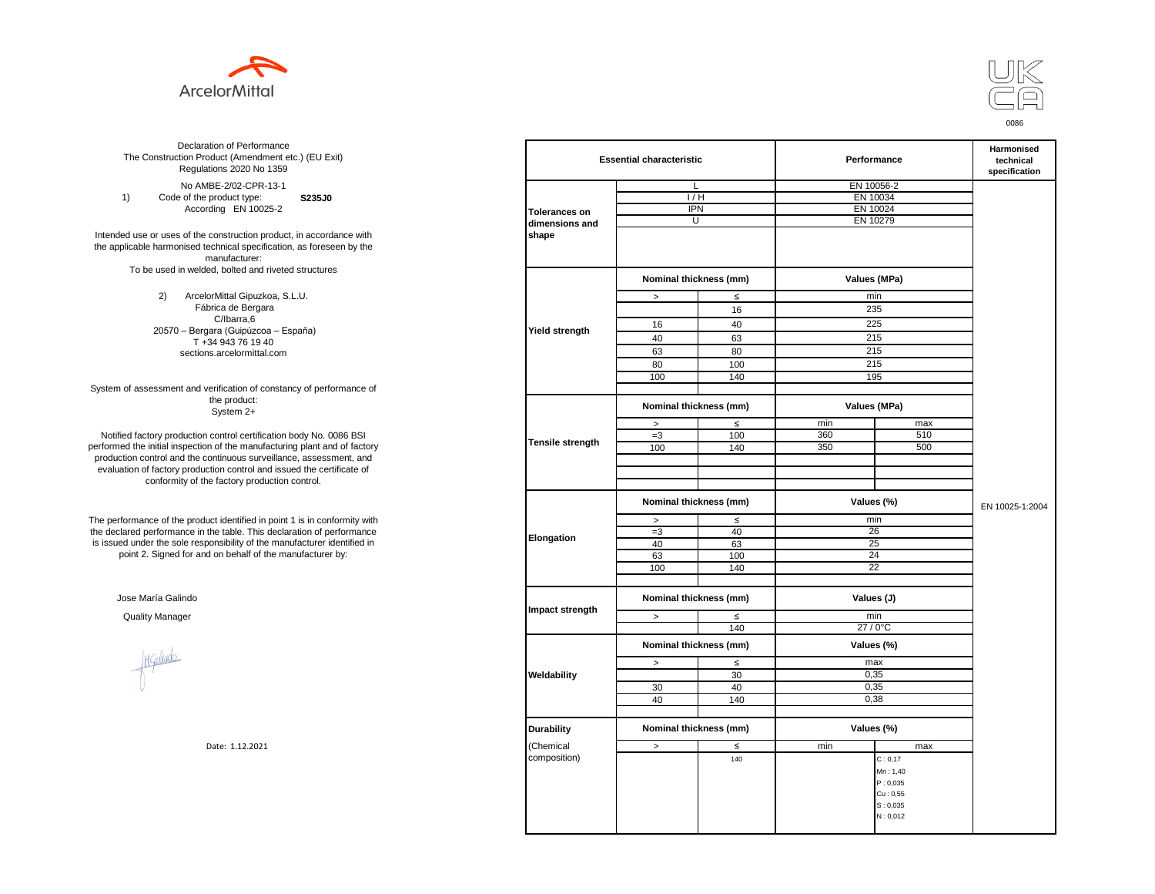



**S235J0** No AMBE-2/02-CPR-13-1 1) Code of the product type: According EN 10025-2

Intended use or uses of the construction product, in accordance with the applicable harmonised technical specification, as foreseen by the manufacturer: To be used in welded, bolted and riveted structures

> 2) ArcelorMittal Gipuzkoa, S.L.U. Fábrica de Bergara C/Ibarra,6 20570 – Bergara (Guipúzcoa – España) T +34 943 76 19 40 sections.arcelormittal.com

System of assessment and verification of constancy of performance of the product: System 2+

Notified factory production control certification body No. 0086 BSI performed the initial inspection of the manufacturing plant and of factory production control and the continuous surveillance, assessment, and evaluation of factory production control and issued the certificate of conformity of the factory production control.

The performance of the product identified in point 1 is in conformity with the declared performance in the table. This declaration of performance is issued under the sole responsibility of the manufacturer identified in point 2. Signed for and on behalf of the manufacturer by:

Jose María Galindo

Healudo

| ation of Performance<br>oduct (Amendment etc.) (EU Exit)<br>ations 2020 No 1359 |                         | <b>Essential characteristic</b> |        |          | Performance  | Harmonised<br>technical<br>specification |
|---------------------------------------------------------------------------------|-------------------------|---------------------------------|--------|----------|--------------|------------------------------------------|
| IBE-2/02-CPR-13-1                                                               |                         | L                               |        |          | EN 10056-2   |                                          |
| product type:<br>S235J0                                                         |                         | 1/H                             |        |          | EN 10034     |                                          |
| rding EN 10025-2                                                                | <b>Tolerances on</b>    | <b>IPN</b>                      |        |          | EN 10024     |                                          |
|                                                                                 | dimensions and          | U                               |        | EN 10279 |              |                                          |
| construction product, in accordance with                                        | shape                   |                                 |        |          |              |                                          |
| echnical specification, as foreseen by the                                      |                         |                                 |        |          |              |                                          |
| manufacturer:                                                                   |                         |                                 |        |          |              |                                          |
| ed, bolted and riveted structures                                               |                         |                                 |        |          |              |                                          |
|                                                                                 |                         | Nominal thickness (mm)          |        |          | Values (MPa) |                                          |
| orMittal Gipuzkoa, S.L.U.                                                       |                         | $\, >$                          | $\leq$ |          | min          |                                          |
| brica de Bergara                                                                |                         |                                 | 16     |          | 235          |                                          |
| C/Ibarra,6                                                                      |                         | 16                              | 40     |          | 225          |                                          |
| jara (Guipúzcoa – España)                                                       | Yield strength          |                                 |        |          |              |                                          |
| 34 943 76 19 40                                                                 |                         | 40                              | 63     |          | 215          |                                          |
| ns.arcelormittal.com                                                            |                         | 63                              | 80     |          | 215          |                                          |
|                                                                                 |                         | 80                              | 100    |          | 215          |                                          |
|                                                                                 |                         | 100                             | 140    |          | 195          |                                          |
| verification of constancy of performance of                                     |                         |                                 |        |          |              |                                          |
| the product:<br>System 2+                                                       |                         | Nominal thickness (mm)          |        |          | Values (MPa) |                                          |
|                                                                                 |                         | $\, >$                          | $\leq$ | min      | max          |                                          |
| control certification body No. 0086 BSI                                         |                         | $=3$                            | 100    | 360      | 510          |                                          |
| in of the manufacturing plant and of factory                                    | <b>Tensile strength</b> | 100                             | 140    | 350      | 500          |                                          |
| ontinuous surveillance, assessment, and                                         |                         |                                 |        |          |              |                                          |
| ction control and issued the certificate of                                     |                         |                                 |        |          |              |                                          |
| e factory production control.                                                   |                         |                                 |        |          |              |                                          |
|                                                                                 |                         |                                 |        |          |              |                                          |
|                                                                                 |                         | Nominal thickness (mm)          |        |          | Values (%)   | EN 10025-1:2004                          |
| uct identified in point 1 is in conformity with                                 |                         | $\, >$                          | $\leq$ |          | min          |                                          |
| the table. This declaration of performance                                      |                         | $=3$                            | 40     |          | 26           |                                          |
| ponsibility of the manufacturer identified in                                   | Elongation              | 40                              | 63     |          | 25           |                                          |
| d on behalf of the manufacturer by:                                             |                         | 63                              | 100    |          | 24           |                                          |
|                                                                                 |                         | 100                             | 140    |          | 22           |                                          |
|                                                                                 |                         |                                 |        |          |              |                                          |
|                                                                                 |                         | Nominal thickness (mm)          |        |          | Values (J)   |                                          |
|                                                                                 | Impact strength         |                                 |        |          |              |                                          |
|                                                                                 |                         | $\geq$                          | $\leq$ |          | min          |                                          |
|                                                                                 |                         |                                 | 140    |          | 27 / 0°C     |                                          |
|                                                                                 |                         | Nominal thickness (mm)          |        |          | Values (%)   |                                          |
|                                                                                 |                         | $\,>$                           | $\leq$ |          | max          |                                          |
|                                                                                 | Weldability             |                                 | 30     |          | 0,35         |                                          |
|                                                                                 |                         | 30                              | 40     |          | 0,35         |                                          |
|                                                                                 |                         | 40                              | 140    |          | 0,38         |                                          |
|                                                                                 |                         |                                 |        |          |              |                                          |
|                                                                                 |                         |                                 |        |          |              |                                          |
|                                                                                 | <b>Durability</b>       | Nominal thickness (mm)          |        |          | Values (%)   |                                          |
| Date: 1.12.2021                                                                 | (Chemical               | $\,>$                           | $\leq$ | min      | max          |                                          |
|                                                                                 | composition)            |                                 | 140    |          | C: 0, 17     |                                          |
|                                                                                 |                         |                                 |        |          | Mn: 1,40     |                                          |
|                                                                                 |                         |                                 |        |          | P: 0,035     |                                          |
|                                                                                 |                         |                                 |        |          | Cu: 0,55     |                                          |
|                                                                                 |                         |                                 |        |          | S: 0,035     |                                          |
|                                                                                 |                         |                                 |        |          | N: 0,012     |                                          |
|                                                                                 |                         |                                 |        |          |              |                                          |
|                                                                                 |                         |                                 |        |          |              |                                          |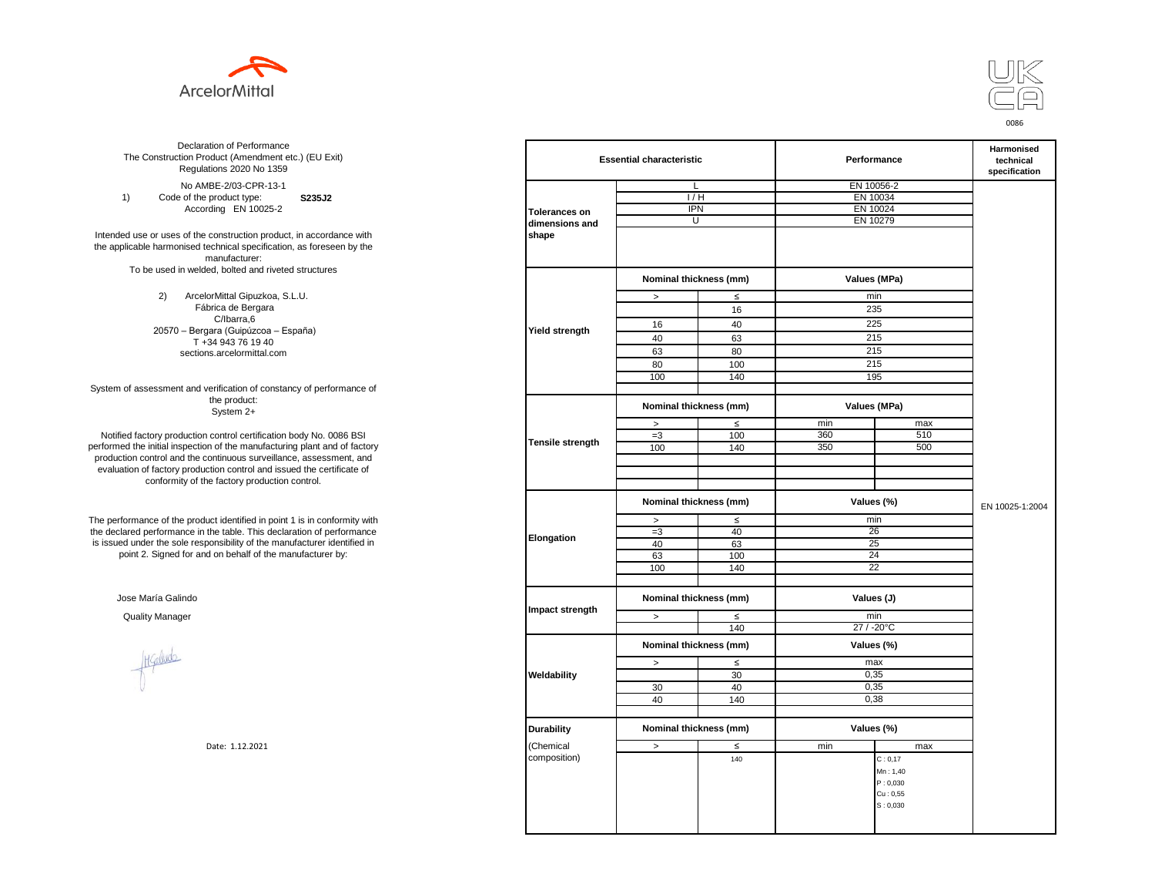



**S235J2** No AMBE-2/03-CPR-13-1 1) Code of the product type: According EN 10025-2

Intended use or uses of the construction product, in accordance with the applicable harmonised technical specification, as foreseen by the manufacturer: To be used in welded, bolted and riveted structures

> 2) ArcelorMittal Gipuzkoa, S.L.U. Fábrica de Bergara C/Ibarra,6 20570 – Bergara (Guipúzcoa – España) T +34 943 76 19 40 sections.arcelormittal.com

System of assessment and verification of constancy of performance of the product: System 2+

Notified factory production control certification body No. 0086 BSI performed the initial inspection of the manufacturing plant and of factory production control and the continuous surveillance, assessment, and evaluation of factory production control and issued the certificate of conformity of the factory production control.

The performance of the product identified in point 1 is in conformity with the declared performance in the table. This declaration of performance is issued under the sole responsibility of the manufacturer identified in point 2. Signed for and on behalf of the manufacturer by:

Jose María Galindo

Healudo

| ation of Performance<br>oduct (Amendment etc.) (EU Exit)<br>ations 2020 No 1359 | <b>Essential characteristic</b> |                        |                        | Performance | Harmonised<br>technical<br>specification |                 |
|---------------------------------------------------------------------------------|---------------------------------|------------------------|------------------------|-------------|------------------------------------------|-----------------|
| IBE-2/03-CPR-13-1                                                               |                                 | L                      |                        |             | EN 10056-2                               |                 |
| product type:<br>S235J2                                                         |                                 | 1/H                    |                        |             | EN 10034                                 |                 |
| rding EN 10025-2                                                                | <b>Tolerances on</b>            | <b>IPN</b>             |                        |             | EN 10024                                 |                 |
|                                                                                 | dimensions and                  | U                      |                        | EN 10279    |                                          |                 |
| construction product, in accordance with                                        | shape                           |                        |                        |             |                                          |                 |
| echnical specification, as foreseen by the                                      |                                 |                        |                        |             |                                          |                 |
| manufacturer:                                                                   |                                 |                        |                        |             |                                          |                 |
| ed, bolted and riveted structures                                               |                                 |                        |                        |             |                                          |                 |
|                                                                                 |                                 | Nominal thickness (mm) |                        |             | Values (MPa)                             |                 |
| orMittal Gipuzkoa, S.L.U.                                                       |                                 | $\, >$                 | $\leq$                 |             | min                                      |                 |
| brica de Bergara                                                                |                                 |                        | 16                     |             | 235                                      |                 |
| C/Ibarra,6                                                                      |                                 | 16                     | 40                     |             | 225                                      |                 |
| jara (Guipúzcoa – España)                                                       | Yield strength                  |                        |                        |             |                                          |                 |
| 34 943 76 19 40                                                                 |                                 | 40                     | 63                     |             | 215                                      |                 |
| ns.arcelormittal.com                                                            |                                 | 63                     | 80                     |             | 215                                      |                 |
|                                                                                 |                                 | 80                     | 100                    |             | 215                                      |                 |
|                                                                                 |                                 | 100                    | 140                    |             | 195                                      |                 |
| verification of constancy of performance of                                     |                                 |                        |                        |             |                                          |                 |
| the product:<br>System 2+                                                       |                                 | Nominal thickness (mm) |                        |             | Values (MPa)                             |                 |
|                                                                                 |                                 | $\, >$                 | $\leq$                 | min         | max                                      |                 |
| control certification body No. 0086 BSI                                         |                                 | $=3$                   | 100                    | 360         | 510                                      |                 |
| in of the manufacturing plant and of factory                                    | Tensile strength                | 100                    | 140                    | 350         | 500                                      |                 |
| ontinuous surveillance, assessment, and                                         |                                 |                        |                        |             |                                          |                 |
| ction control and issued the certificate of                                     |                                 |                        |                        |             |                                          |                 |
| e factory production control.                                                   |                                 |                        |                        |             |                                          |                 |
|                                                                                 |                                 |                        |                        |             |                                          |                 |
|                                                                                 |                                 |                        | Nominal thickness (mm) |             | Values (%)                               | EN 10025-1:2004 |
| uct identified in point 1 is in conformity with                                 |                                 | $\, >$                 | $\leq$                 |             | min                                      |                 |
| the table. This declaration of performance                                      |                                 | $=3$                   | 40                     |             | 26                                       |                 |
| ponsibility of the manufacturer identified in                                   | Elongation                      | 40                     | 63                     |             | 25                                       |                 |
| d on behalf of the manufacturer by:                                             |                                 | 63                     | 100                    |             | 24                                       |                 |
|                                                                                 |                                 | 100                    | 140                    |             | 22                                       |                 |
|                                                                                 |                                 |                        |                        |             |                                          |                 |
|                                                                                 |                                 |                        |                        |             | Values (J)                               |                 |
|                                                                                 | Impact strength                 | Nominal thickness (mm) |                        |             |                                          |                 |
|                                                                                 |                                 | $\geq$                 | $\leq$                 |             | min                                      |                 |
|                                                                                 |                                 |                        | 140                    |             | 27 / -20°C                               |                 |
|                                                                                 |                                 | Nominal thickness (mm) |                        |             | Values (%)                               |                 |
|                                                                                 |                                 | $\,>$                  | $\leq$                 |             | max                                      |                 |
|                                                                                 | Weldability                     |                        | 30                     |             | 0,35                                     |                 |
|                                                                                 |                                 | 30                     | 40                     |             | 0,35                                     |                 |
|                                                                                 |                                 | 40                     | 140                    |             | 0,38                                     |                 |
|                                                                                 |                                 |                        |                        |             |                                          |                 |
|                                                                                 |                                 |                        |                        |             |                                          |                 |
|                                                                                 | <b>Durability</b>               | Nominal thickness (mm) |                        |             | Values (%)                               |                 |
| Date: 1.12.2021                                                                 | (Chemical                       | $\,>$                  | $\leq$                 | min         | max                                      |                 |
|                                                                                 | composition)                    |                        | 140                    |             | C: 0, 17                                 |                 |
|                                                                                 |                                 |                        |                        |             | Mn: 1,40                                 |                 |
|                                                                                 |                                 |                        |                        |             | P: 0,030                                 |                 |
|                                                                                 |                                 |                        |                        |             | Cu: 0,55                                 |                 |
|                                                                                 |                                 |                        |                        |             | S: 0,030                                 |                 |
|                                                                                 |                                 |                        |                        |             |                                          |                 |
|                                                                                 |                                 |                        |                        |             |                                          |                 |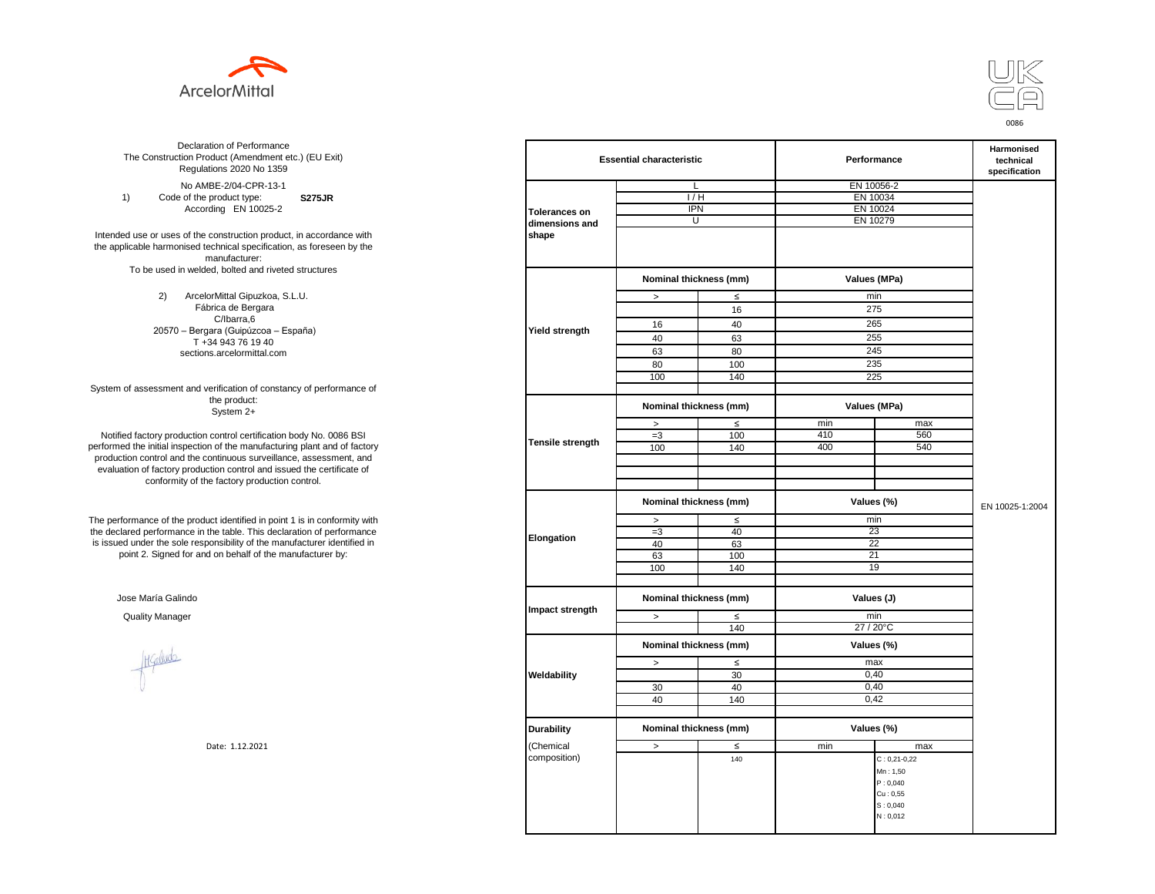



**S275JR** No AMBE-2/04-CPR-13-1 1) Code of the product type: According EN 10025-2

Intended use or uses of the construction product, in accordance with the applicable harmonised technical specification, as foreseen by the manufacturer: To be used in welded, bolted and riveted structures

> 2) ArcelorMittal Gipuzkoa, S.L.U. Fábrica de Bergara C/Ibarra,6 20570 – Bergara (Guipúzcoa – España) T +34 943 76 19 40 sections.arcelormittal.com

System of assessment and verification of constancy of performance of the product: System 2+

Notified factory production control certification body No. 0086 BSI performed the initial inspection of the manufacturing plant and of factory production control and the continuous surveillance, assessment, and evaluation of factory production control and issued the certificate of conformity of the factory production control.

The performance of the product identified in point 1 is in conformity with the declared performance in the table. This declaration of performance is issued under the sole responsibility of the manufacturer identified in point 2. Signed for and on behalf of the manufacturer by:

Jose María Galindo

Healudo

| ation of Performance<br>oduct (Amendment etc.) (EU Exit)<br>ations 2020 No 1359 |                         | <b>Essential characteristic</b> |        |          | Performance        | Harmonised<br>technical<br>specification |
|---------------------------------------------------------------------------------|-------------------------|---------------------------------|--------|----------|--------------------|------------------------------------------|
| IBE-2/04-CPR-13-1                                                               |                         | L                               |        |          | EN 10056-2         |                                          |
| product type:<br><b>S275JR</b>                                                  |                         | 1/H                             |        | EN 10034 |                    |                                          |
| rding EN 10025-2                                                                | <b>Tolerances on</b>    | <b>IPN</b>                      |        |          | EN 10024           |                                          |
|                                                                                 | dimensions and          | U                               |        | EN 10279 |                    |                                          |
| construction product, in accordance with                                        | shape                   |                                 |        |          |                    |                                          |
| echnical specification, as foreseen by the                                      |                         |                                 |        |          |                    |                                          |
| manufacturer:                                                                   |                         |                                 |        |          |                    |                                          |
| ed, bolted and riveted structures                                               |                         |                                 |        |          |                    |                                          |
|                                                                                 |                         | Nominal thickness (mm)          |        |          | Values (MPa)       |                                          |
| orMittal Gipuzkoa, S.L.U.                                                       |                         | $\,$                            | $\leq$ |          | min                |                                          |
| brica de Bergara                                                                |                         |                                 | 16     |          | 275                |                                          |
| C/Ibarra,6                                                                      |                         | 16                              | 40     |          | 265                |                                          |
| jara (Guipúzcoa – España)                                                       | Yield strength          |                                 |        |          |                    |                                          |
| 34 943 76 19 40                                                                 |                         | 40                              | 63     |          | 255                |                                          |
| ns.arcelormittal.com                                                            |                         | 63                              | 80     |          | 245                |                                          |
|                                                                                 |                         | 80                              | 100    |          | 235                |                                          |
|                                                                                 |                         | 100                             | 140    |          | 225                |                                          |
| verification of constancy of performance of                                     |                         |                                 |        |          |                    |                                          |
| the product:<br>System 2+                                                       |                         | Nominal thickness (mm)          |        |          | Values (MPa)       |                                          |
|                                                                                 |                         | $\, >$                          | $\leq$ | min      | max                |                                          |
| control certification body No. 0086 BSI                                         |                         | $=3$                            | 100    | 410      | 560                |                                          |
| in of the manufacturing plant and of factory                                    | <b>Tensile strength</b> | 100                             | 140    | 400      | 540                |                                          |
| ontinuous surveillance, assessment, and                                         |                         |                                 |        |          |                    |                                          |
| ction control and issued the certificate of                                     |                         |                                 |        |          |                    |                                          |
| e factory production control.                                                   |                         |                                 |        |          |                    |                                          |
|                                                                                 |                         |                                 |        |          |                    |                                          |
|                                                                                 |                         | Nominal thickness (mm)          |        |          | Values (%)         | EN 10025-1:2004                          |
| uct identified in point 1 is in conformity with                                 |                         | $\, >$                          | $\leq$ |          | min                |                                          |
| the table. This declaration of performance                                      |                         | $=3$                            | 40     |          | 23                 |                                          |
| ponsibility of the manufacturer identified in                                   | Elongation              | 40                              | 63     |          | 22                 |                                          |
| d on behalf of the manufacturer by:                                             |                         | 63                              | 100    |          | 21                 |                                          |
|                                                                                 |                         | 100                             | 140    |          | 19                 |                                          |
|                                                                                 |                         |                                 |        |          |                    |                                          |
|                                                                                 |                         | Nominal thickness (mm)          |        |          | Values (J)         |                                          |
|                                                                                 | Impact strength         |                                 |        |          |                    |                                          |
|                                                                                 |                         | $\geq$                          | $\leq$ |          | min                |                                          |
|                                                                                 |                         |                                 | 140    |          | 27 / 20°C          |                                          |
|                                                                                 |                         | Nominal thickness (mm)          |        |          | Values (%)         |                                          |
|                                                                                 |                         | $\,>$                           | $\leq$ |          | max                |                                          |
|                                                                                 | Weldability             |                                 | 30     |          | 0,40               |                                          |
|                                                                                 |                         | 30                              | 40     |          | 0,40               |                                          |
|                                                                                 |                         | 40                              | 140    |          | 0,42               |                                          |
|                                                                                 |                         |                                 |        |          |                    |                                          |
|                                                                                 |                         |                                 |        |          |                    |                                          |
|                                                                                 | <b>Durability</b>       | Nominal thickness (mm)          |        |          | Values (%)         |                                          |
| Date: 1.12.2021                                                                 | (Chemical               | $\,>$                           | $\leq$ | min      | max                |                                          |
|                                                                                 | composition)            |                                 | 140    |          | $C: 0, 21 - 0, 22$ |                                          |
|                                                                                 |                         |                                 |        |          | Mn: 1,50           |                                          |
|                                                                                 |                         |                                 |        |          | P: 0,040           |                                          |
|                                                                                 |                         |                                 |        |          | Cu: 0,55           |                                          |
|                                                                                 |                         |                                 |        |          | S: 0,040           |                                          |
|                                                                                 |                         |                                 |        |          | N: 0,012           |                                          |
|                                                                                 |                         |                                 |        |          |                    |                                          |
|                                                                                 |                         |                                 |        |          |                    |                                          |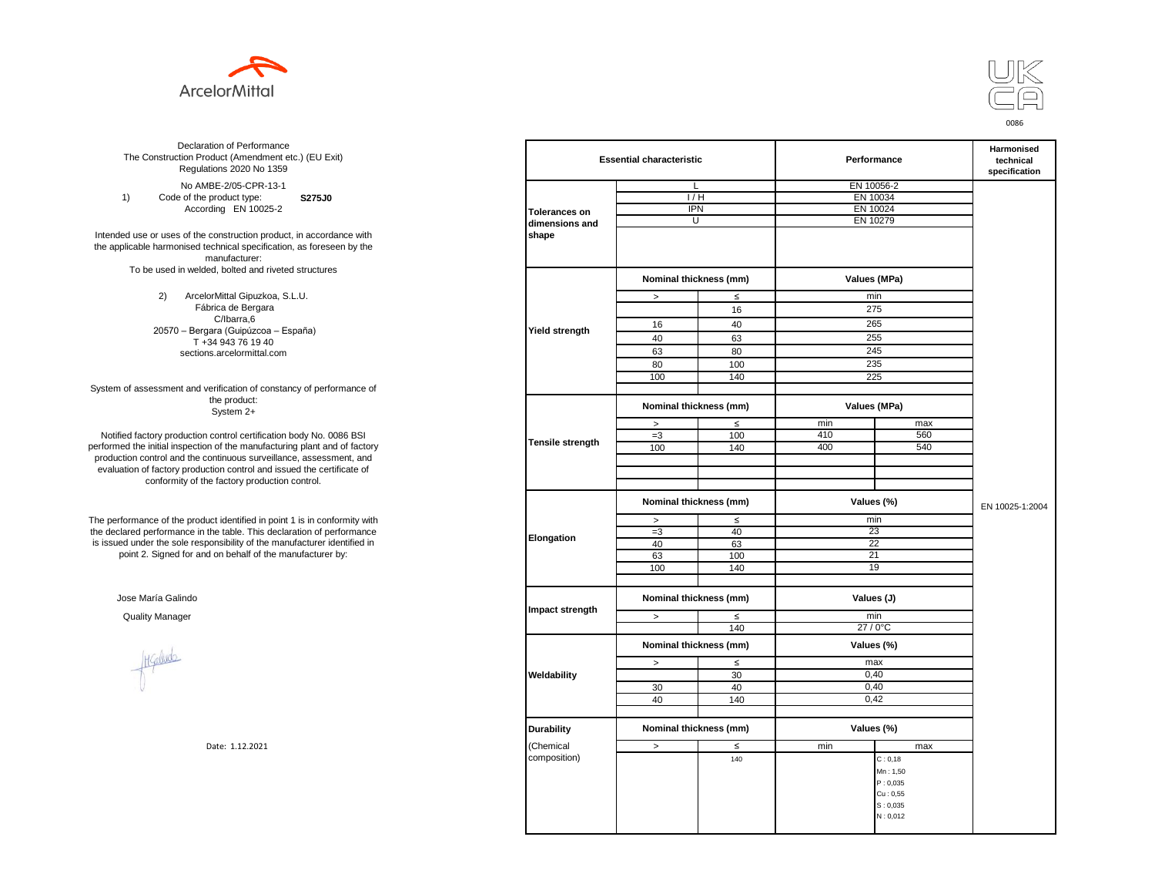



**S275J0**  No AMBE-2/05-CPR-13-1 1) Code of the product type: According EN 10025-2

Intended use or uses of the construction product, in accordance with the applicable harmonised technical specification, as foreseen by the manufacturer: To be used in welded, bolted and riveted structures

> 2) ArcelorMittal Gipuzkoa, S.L.U. Fábrica de Bergara C/Ibarra,6 20570 – Bergara (Guipúzcoa – España) T +34 943 76 19 40 sections.arcelormittal.com

System of assessment and verification of constancy of performance of the product: System 2+

Notified factory production control certification body No. 0086 BSI performed the initial inspection of the manufacturing plant and of factory production control and the continuous surveillance, assessment, and evaluation of factory production control and issued the certificate of conformity of the factory production control.

The performance of the product identified in point 1 is in conformity with the declared performance in the table. This declaration of performance is issued under the sole responsibility of the manufacturer identified in point 2. Signed for and on behalf of the manufacturer by:

Jose María Galindo

Hallude

| ation of Performance<br>oduct (Amendment etc.) (EU Exit)<br>ations 2020 No 1359                         |                      | <b>Essential characteristic</b> |        | Performance | Harmonised<br>technical<br>specification |                 |  |
|---------------------------------------------------------------------------------------------------------|----------------------|---------------------------------|--------|-------------|------------------------------------------|-----------------|--|
| IBE-2/05-CPR-13-1                                                                                       |                      | L                               |        |             | EN 10056-2                               |                 |  |
| product type:<br><b>S275J0</b>                                                                          |                      | 1/H                             |        | EN 10034    |                                          |                 |  |
| rding EN 10025-2                                                                                        | <b>Tolerances on</b> | <b>IPN</b>                      |        |             | EN 10024                                 |                 |  |
|                                                                                                         | dimensions and       | U                               |        | EN 10279    |                                          |                 |  |
| construction product, in accordance with<br>echnical specification, as foreseen by the<br>manufacturer: | shape                |                                 |        |             |                                          |                 |  |
| ed, bolted and riveted structures                                                                       |                      | Nominal thickness (mm)          |        |             | Values (MPa)                             |                 |  |
| orMittal Gipuzkoa, S.L.U.                                                                               |                      | $\, >$                          | $\leq$ |             | min                                      |                 |  |
| brica de Bergara                                                                                        |                      |                                 | 16     |             | 275                                      |                 |  |
| C/Ibarra,6                                                                                              |                      | 16                              | 40     |             | 265                                      |                 |  |
| jara (Guipúzcoa – España)                                                                               | Yield strength       | 40                              | 63     | 255         |                                          |                 |  |
| 34 943 76 19 40                                                                                         |                      | 63                              | 80     |             | 245                                      |                 |  |
| ns.arcelormittal.com                                                                                    |                      |                                 |        |             | 235                                      |                 |  |
|                                                                                                         |                      | 80                              | 100    |             |                                          |                 |  |
| verification of constancy of performance of                                                             |                      | 100                             | 140    |             | 225                                      |                 |  |
| the product:<br>System 2+                                                                               |                      | Nominal thickness (mm)          |        |             | Values (MPa)                             |                 |  |
|                                                                                                         |                      | $\, >$                          | $\leq$ | min         | max                                      |                 |  |
| control certification body No. 0086 BSI                                                                 |                      | $=3$                            | 100    | 410         | 560                                      |                 |  |
| in of the manufacturing plant and of factory                                                            | Tensile strength     | 100                             | 140    | 400         | 540                                      |                 |  |
| ontinuous surveillance, assessment, and                                                                 |                      |                                 |        |             |                                          |                 |  |
| ction control and issued the certificate of                                                             |                      |                                 |        |             |                                          |                 |  |
| e factory production control.                                                                           |                      |                                 |        |             |                                          |                 |  |
|                                                                                                         |                      | Nominal thickness (mm)          |        |             | Values (%)                               | EN 10025-1:2004 |  |
| uct identified in point 1 is in conformity with                                                         |                      | $\geq$                          | $\leq$ |             | min                                      |                 |  |
| the table. This declaration of performance                                                              | Elongation           | $=3$                            | 40     |             | 23                                       |                 |  |
| ponsibility of the manufacturer identified in                                                           |                      | 40                              | 63     |             | 22                                       |                 |  |
| d on behalf of the manufacturer by:                                                                     |                      | 63                              | 100    |             | 21                                       |                 |  |
|                                                                                                         |                      | 100                             | 140    |             | 19                                       |                 |  |
|                                                                                                         |                      |                                 |        | Values (J)  |                                          |                 |  |
|                                                                                                         | Impact strength      | Nominal thickness (mm)          |        |             |                                          |                 |  |
|                                                                                                         |                      | $\,>$                           | $\leq$ | min         |                                          |                 |  |
|                                                                                                         |                      |                                 | 140    |             | $27/0$ °C                                |                 |  |
|                                                                                                         |                      | Nominal thickness (mm)          |        |             | Values (%)                               |                 |  |
|                                                                                                         |                      | $\,>$                           | $\leq$ |             | max                                      |                 |  |
|                                                                                                         | Weldability          |                                 | 30     |             | 0,40                                     |                 |  |
|                                                                                                         |                      | 30                              | 40     |             | 0,40                                     |                 |  |
|                                                                                                         |                      | 40                              | 140    |             | 0,42                                     |                 |  |
|                                                                                                         | <b>Durability</b>    | Nominal thickness (mm)          |        |             | Values (%)                               |                 |  |
| Date: 1.12.2021                                                                                         | (Chemical            | $\,>$                           | $\leq$ | min         | max                                      |                 |  |
|                                                                                                         | composition)         |                                 | 140    |             | C: 0, 18                                 |                 |  |
|                                                                                                         |                      |                                 |        |             | Mn: 1,50                                 |                 |  |
|                                                                                                         |                      |                                 |        |             | P: 0,035                                 |                 |  |
|                                                                                                         |                      |                                 |        |             | Cu: 0,55                                 |                 |  |
|                                                                                                         |                      |                                 |        |             | S: 0,035                                 |                 |  |
|                                                                                                         |                      |                                 |        |             | N: 0,012                                 |                 |  |
|                                                                                                         |                      |                                 |        |             |                                          |                 |  |
|                                                                                                         |                      |                                 |        |             |                                          |                 |  |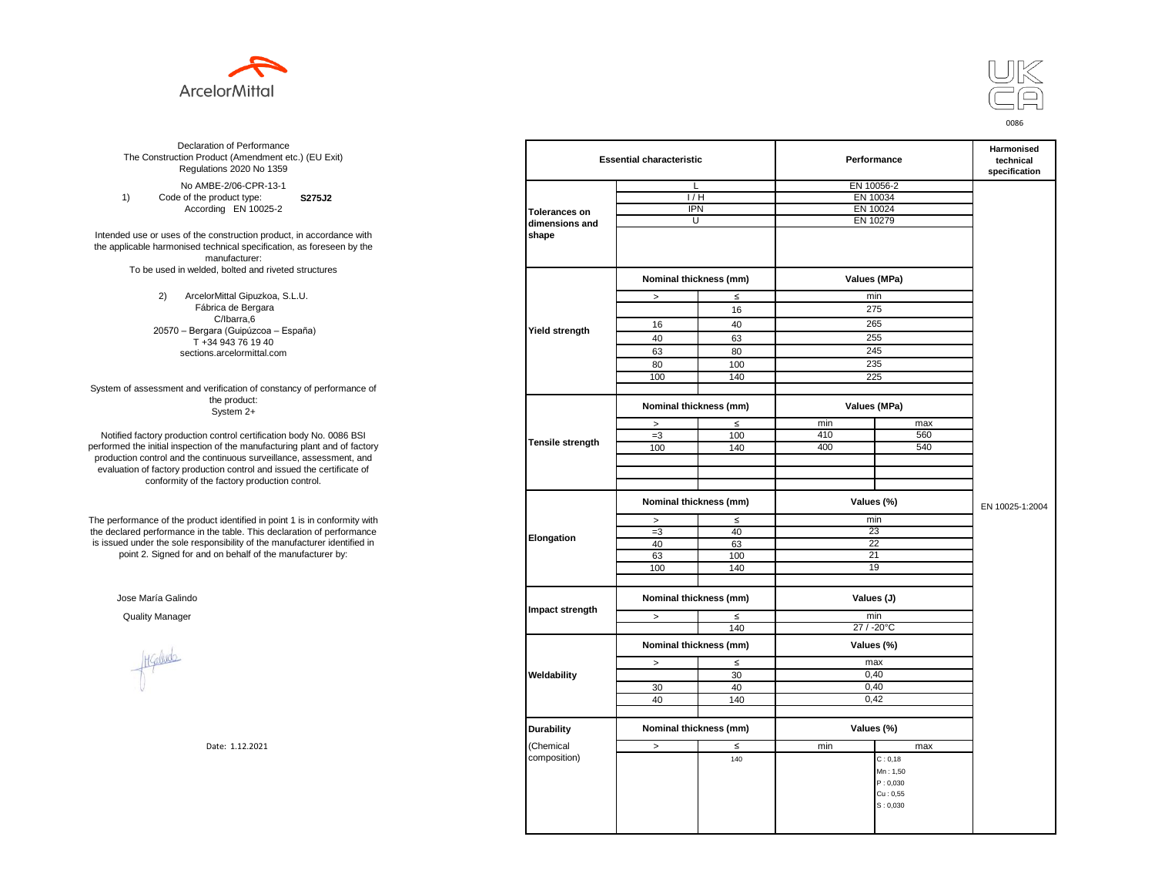



**S275J2**  No AMBE-2/06-CPR-13-1 1) Code of the product type: According EN 10025-2

Intended use or uses of the construction product, in accordance with the applicable harmonised technical specification, as foreseen by the manufacturer: To be used in welded, bolted and riveted structures

> 2) ArcelorMittal Gipuzkoa, S.L.U. Fábrica de Bergara C/Ibarra,6 20570 – Bergara (Guipúzcoa – España) T +34 943 76 19 40 sections.arcelormittal.com

System of assessment and verification of constancy of performance of the product: System 2+

Notified factory production control certification body No. 0086 BSI performed the initial inspection of the manufacturing plant and of factory production control and the continuous surveillance, assessment, and evaluation of factory production control and issued the certificate of conformity of the factory production control.

The performance of the product identified in point 1 is in conformity with the declared performance in the table. This declaration of performance is issued under the sole responsibility of the manufacturer identified in point 2. Signed for and on behalf of the manufacturer by:

Jose María Galindo

Healudo

| ation of Performance<br>oduct (Amendment etc.) (EU Exit)<br>ations 2020 No 1359 |                      | <b>Essential characteristic</b> |              |            | Performance  | Harmonised<br>technical<br>specification |
|---------------------------------------------------------------------------------|----------------------|---------------------------------|--------------|------------|--------------|------------------------------------------|
| IBE-2/06-CPR-13-1                                                               |                      | L                               |              |            | EN 10056-2   |                                          |
| product type:<br>S275J2                                                         |                      | 1/H                             |              | EN 10034   |              |                                          |
| rding EN 10025-2                                                                | <b>Tolerances on</b> | <b>IPN</b>                      |              |            | EN 10024     |                                          |
|                                                                                 | dimensions and       | U                               |              | EN 10279   |              |                                          |
| construction product, in accordance with                                        | shape                |                                 |              |            |              |                                          |
| echnical specification, as foreseen by the                                      |                      |                                 |              |            |              |                                          |
| manufacturer:                                                                   |                      |                                 |              |            |              |                                          |
| ed, bolted and riveted structures                                               |                      |                                 |              |            |              |                                          |
|                                                                                 |                      | Nominal thickness (mm)          |              |            | Values (MPa) |                                          |
| orMittal Gipuzkoa, S.L.U.                                                       |                      | $\, >$                          | $\leq$       |            | min          |                                          |
| brica de Bergara                                                                |                      |                                 | 16           |            | 275          |                                          |
| C/Ibarra,6                                                                      |                      | 16                              | 40           |            | 265          |                                          |
| jara (Guipúzcoa – España)                                                       | Yield strength       |                                 |              |            |              |                                          |
| 34 943 76 19 40                                                                 |                      | 40                              | 63           |            | 255          |                                          |
| ns.arcelormittal.com                                                            |                      | 63                              | 80           |            | 245          |                                          |
|                                                                                 |                      | 80                              | 100          |            | 235          |                                          |
|                                                                                 |                      | 100                             | 140          |            | 225          |                                          |
| verification of constancy of performance of                                     |                      |                                 |              |            |              |                                          |
| the product:<br>System 2+                                                       |                      | Nominal thickness (mm)          |              |            | Values (MPa) |                                          |
|                                                                                 |                      | $\, >$                          | $\leq$       | min        | max          |                                          |
| control certification body No. 0086 BSI                                         |                      | $=3$                            | 100          | 410        | 560          |                                          |
| in of the manufacturing plant and of factory                                    | Tensile strength     | 100                             | 140          | 400        | 540          |                                          |
| ontinuous surveillance, assessment, and                                         |                      |                                 |              |            |              |                                          |
| ction control and issued the certificate of                                     |                      |                                 |              |            |              |                                          |
| e factory production control.                                                   |                      |                                 |              |            |              |                                          |
|                                                                                 |                      |                                 |              |            |              |                                          |
|                                                                                 |                      | Nominal thickness (mm)          |              |            | Values (%)   | EN 10025-1:2004                          |
| uct identified in point 1 is in conformity with                                 |                      | $\, >$                          | $\leq$       |            | min          |                                          |
| the table. This declaration of performance                                      |                      | $=3$                            | 40           |            | 23           |                                          |
| ponsibility of the manufacturer identified in                                   | Elongation           | 40                              | 63           |            | 22           |                                          |
| d on behalf of the manufacturer by:                                             |                      | 63                              | 100          |            | 21           |                                          |
|                                                                                 |                      | 100                             | 140          |            | 19           |                                          |
|                                                                                 |                      |                                 |              |            |              |                                          |
|                                                                                 |                      | Nominal thickness (mm)          |              | Values (J) |              |                                          |
|                                                                                 | Impact strength      |                                 |              |            |              |                                          |
|                                                                                 |                      | $\geq$                          | $\leq$       |            | min          |                                          |
|                                                                                 |                      |                                 | 140          |            | 27 / -20°C   |                                          |
|                                                                                 |                      | Nominal thickness (mm)          |              |            | Values (%)   |                                          |
|                                                                                 |                      |                                 |              |            | max          |                                          |
|                                                                                 |                      | $\,>$                           | $\leq$<br>30 |            | 0,40         |                                          |
|                                                                                 | Weldability          |                                 |              |            |              |                                          |
|                                                                                 |                      | 30                              | 40           |            | 0,40         |                                          |
|                                                                                 |                      | 40                              | 140          |            | 0,42         |                                          |
|                                                                                 |                      |                                 |              |            |              |                                          |
|                                                                                 | <b>Durability</b>    | Nominal thickness (mm)          |              |            | Values (%)   |                                          |
| Date: 1.12.2021                                                                 | (Chemical            | $\,>$                           | $\leq$       | min        | max          |                                          |
|                                                                                 | composition)         |                                 | 140          |            | C: 0, 18     |                                          |
|                                                                                 |                      |                                 |              |            | Mn: 1,50     |                                          |
|                                                                                 |                      |                                 |              |            | P: 0,030     |                                          |
|                                                                                 |                      |                                 |              |            | Cu: 0,55     |                                          |
|                                                                                 |                      |                                 |              |            | S: 0,030     |                                          |
|                                                                                 |                      |                                 |              |            |              |                                          |
|                                                                                 |                      |                                 |              |            |              |                                          |
|                                                                                 |                      |                                 |              |            |              |                                          |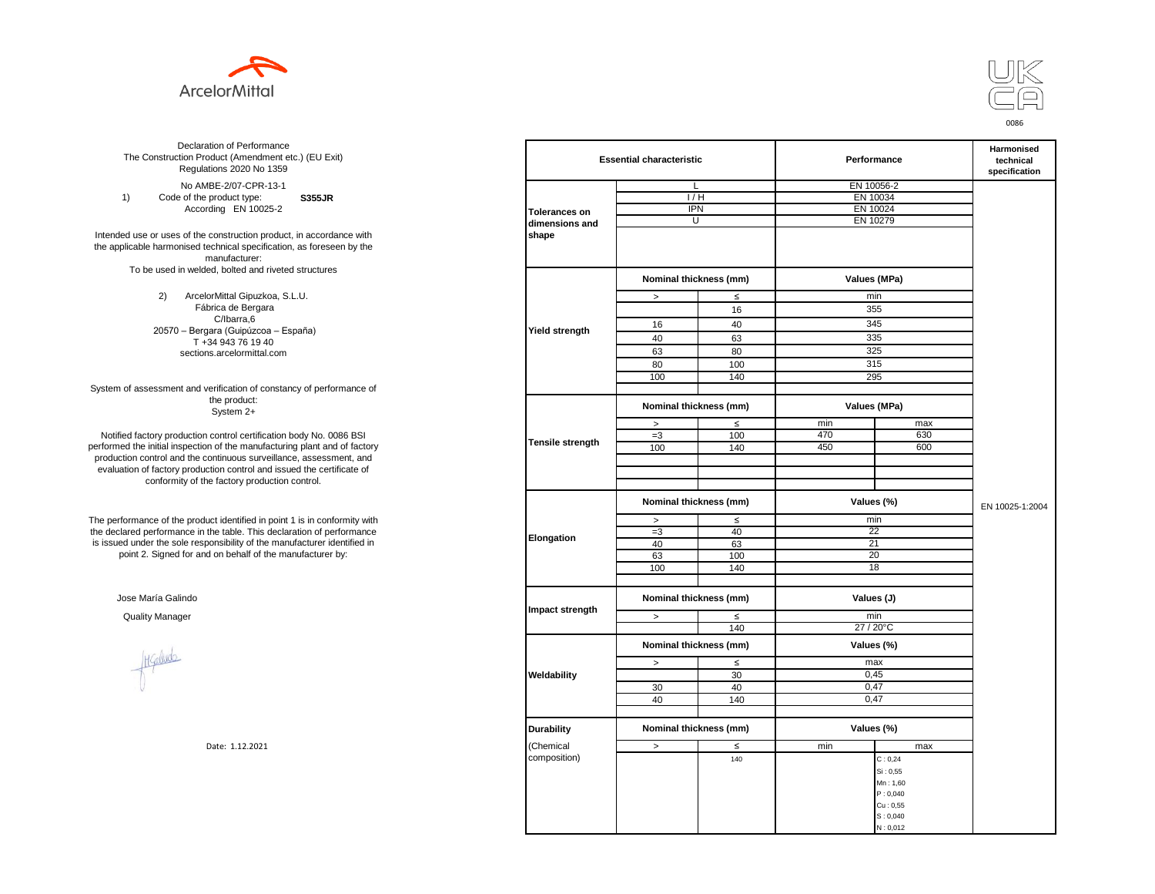



**S355JR**  No AMBE-2/07-CPR-13-1 1) Code of the product type: According EN 10025-2

Intended use or uses of the construction product, in accordance with the applicable harmonised technical specification, as foreseen by the manufacturer: To be used in welded, bolted and riveted structures

> 2) ArcelorMittal Gipuzkoa, S.L.U. Fábrica de Bergara C/Ibarra,6 20570 – Bergara (Guipúzcoa – España) T +34 943 76 19 40 sections.arcelormittal.com

System of assessment and verification of constancy of performance of the product: System 2+

Notified factory production control certification body No. 0086 BSI performed the initial inspection of the manufacturing plant and of factory production control and the continuous surveillance, assessment, and evaluation of factory production control and issued the certificate of conformity of the factory production control.

The performance of the product identified in point 1 is in conformity with the declared performance in the table. This declaration of performance is issued under the sole responsibility of the manufacturer identified in point 2. Signed for and on behalf of the manufacturer by:

Jose María Galindo

Healudo

| ation of Performance<br>oduct (Amendment etc.) (EU Exit)<br>ations 2020 No 1359 |                         | <b>Essential characteristic</b> |        |            | Performance  | Harmonised<br>technical<br>specification |
|---------------------------------------------------------------------------------|-------------------------|---------------------------------|--------|------------|--------------|------------------------------------------|
| IBE-2/07-CPR-13-1                                                               |                         | L                               |        | EN 10056-2 |              |                                          |
| product type:<br><b>S355JR</b>                                                  |                         | 1/H                             |        |            | EN 10034     |                                          |
| rding EN 10025-2                                                                | <b>Tolerances on</b>    | <b>IPN</b>                      |        |            | EN 10024     |                                          |
|                                                                                 | dimensions and          | U                               |        | EN 10279   |              |                                          |
| construction product, in accordance with                                        | shape                   |                                 |        |            |              |                                          |
| echnical specification, as foreseen by the                                      |                         |                                 |        |            |              |                                          |
| manufacturer:                                                                   |                         |                                 |        |            |              |                                          |
| ed, bolted and riveted structures                                               |                         |                                 |        |            |              |                                          |
|                                                                                 |                         | Nominal thickness (mm)          |        |            | Values (MPa) |                                          |
| orMittal Gipuzkoa, S.L.U.                                                       |                         | $\, >$                          | $\leq$ |            | min          |                                          |
| brica de Bergara                                                                |                         |                                 | 16     |            | 355          |                                          |
| C/Ibarra,6                                                                      |                         | 16                              | 40     |            | 345          |                                          |
| jara (Guipúzcoa – España)                                                       | Yield strength          |                                 |        |            |              |                                          |
| 34 943 76 19 40                                                                 |                         | 40                              | 63     |            | 335          |                                          |
| ns.arcelormittal.com                                                            |                         | 63                              | 80     |            | 325          |                                          |
|                                                                                 |                         | 80                              | 100    |            | 315          |                                          |
|                                                                                 |                         | 100                             | 140    |            | 295          |                                          |
| verification of constancy of performance of                                     |                         |                                 |        |            |              |                                          |
| the product:<br>System 2+                                                       |                         | Nominal thickness (mm)          |        |            | Values (MPa) |                                          |
|                                                                                 |                         | $\, >$                          | $\leq$ | min        | max          |                                          |
| control certification body No. 0086 BSI                                         |                         | $=3$                            | 100    | 470        | 630          |                                          |
| in of the manufacturing plant and of factory                                    | <b>Tensile strength</b> | 100                             | 140    | 450        | 600          |                                          |
| ontinuous surveillance, assessment, and                                         |                         |                                 |        |            |              |                                          |
| ction control and issued the certificate of                                     |                         |                                 |        |            |              |                                          |
| e factory production control.                                                   |                         |                                 |        |            |              |                                          |
|                                                                                 |                         |                                 |        |            |              |                                          |
|                                                                                 |                         | Nominal thickness (mm)          |        |            | Values (%)   | EN 10025-1:2004                          |
| uct identified in point 1 is in conformity with                                 |                         | $\, >$                          | $\leq$ |            | min          |                                          |
| the table. This declaration of performance                                      |                         | $=3$                            | 40     |            | 22           |                                          |
| ponsibility of the manufacturer identified in                                   | Elongation              | 40                              | 63     |            | 21           |                                          |
| d on behalf of the manufacturer by:                                             |                         | 63                              | 100    |            | 20           |                                          |
|                                                                                 |                         | 100                             | 140    |            | 18           |                                          |
|                                                                                 |                         |                                 |        |            |              |                                          |
|                                                                                 |                         |                                 |        |            |              |                                          |
|                                                                                 | Impact strength         | Nominal thickness (mm)          |        | Values (J) |              |                                          |
|                                                                                 |                         | $\geq$                          | $\leq$ |            | min          |                                          |
|                                                                                 |                         |                                 | 140    |            | 27 / 20°C    |                                          |
|                                                                                 |                         | Nominal thickness (mm)          |        |            | Values (%)   |                                          |
|                                                                                 |                         | $\,>$                           | $\leq$ |            | max          |                                          |
|                                                                                 |                         |                                 | 30     |            | 0,45         |                                          |
|                                                                                 | Weldability             |                                 |        |            |              |                                          |
|                                                                                 |                         | 30                              | 40     |            | 0,47<br>0,47 |                                          |
|                                                                                 |                         | 40                              | 140    |            |              |                                          |
|                                                                                 |                         |                                 |        |            |              |                                          |
|                                                                                 | <b>Durability</b>       | Nominal thickness (mm)          |        |            | Values (%)   |                                          |
| Date: 1.12.2021                                                                 | (Chemical               | $\,>$                           | $\leq$ | min        | max          |                                          |
|                                                                                 | composition)            |                                 | 140    |            | C: 0, 24     |                                          |
|                                                                                 |                         |                                 |        |            | Si: 0,55     |                                          |
|                                                                                 |                         |                                 |        |            | Mn: 1,60     |                                          |
|                                                                                 |                         |                                 |        |            | P: 0,040     |                                          |
|                                                                                 |                         |                                 |        |            | Cu: 0,55     |                                          |
|                                                                                 |                         |                                 |        |            | S: 0,040     |                                          |
|                                                                                 |                         |                                 |        |            | N: 0,012     |                                          |
|                                                                                 |                         |                                 |        |            |              |                                          |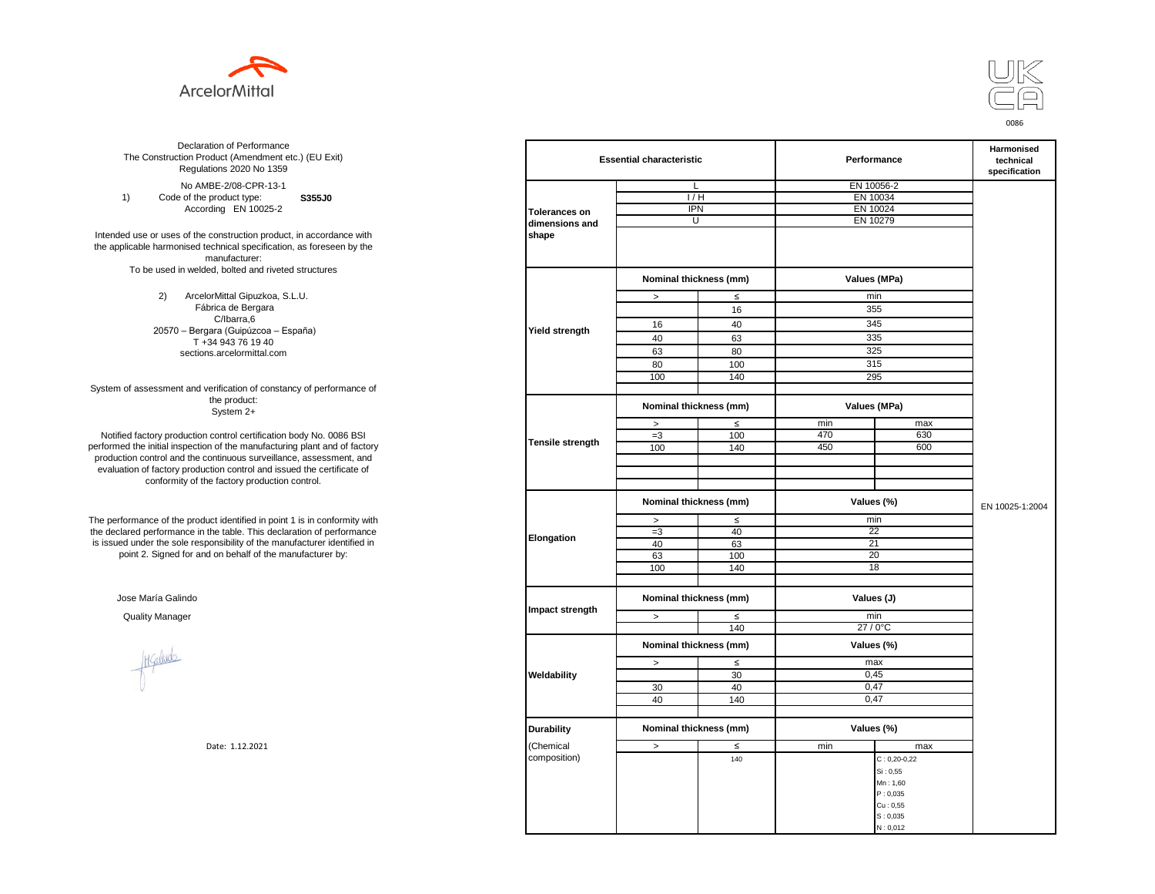



**S355J0**  No AMBE-2/08-CPR-13-1 1) Code of the product type: According EN 10025-2

Intended use or uses of the construction product, in accordance with the applicable harmonised technical specification, as foreseen by the manufacturer: To be used in welded, bolted and riveted structures

> 2) ArcelorMittal Gipuzkoa, S.L.U. Fábrica de Bergara C/Ibarra,6 20570 – Bergara (Guipúzcoa – España) T +34 943 76 19 40 sections.arcelormittal.com

System of assessment and verification of constancy of performance of the product: System 2+

Notified factory production control certification body No. 0086 BSI performed the initial inspection of the manufacturing plant and of factory production control and the continuous surveillance, assessment, and evaluation of factory production control and issued the certificate of conformity of the factory production control.

The performance of the product identified in point 1 is in conformity with the declared performance in the table. This declaration of performance is issued under the sole responsibility of the manufacturer identified in point 2. Signed for and on behalf of the manufacturer by:

Jose María Galindo

Higaludo

| ation of Performance<br>oduct (Amendment etc.) (EU Exit)<br>ations 2020 No 1359                         |                      | <b>Essential characteristic</b> |                        | Performance | Harmonised<br>technical<br>specification |                 |
|---------------------------------------------------------------------------------------------------------|----------------------|---------------------------------|------------------------|-------------|------------------------------------------|-----------------|
| IBE-2/08-CPR-13-1                                                                                       |                      |                                 | L                      |             | EN 10056-2                               |                 |
| product type:<br>S355J0                                                                                 |                      | 1/H                             |                        | EN 10034    |                                          |                 |
| rding EN 10025-2                                                                                        | <b>Tolerances on</b> | <b>IPN</b>                      |                        | EN 10024    |                                          |                 |
|                                                                                                         | dimensions and       |                                 | U                      | EN 10279    |                                          |                 |
| construction product, in accordance with<br>echnical specification, as foreseen by the<br>manufacturer: | shape                |                                 |                        |             |                                          |                 |
| ed, bolted and riveted structures                                                                       |                      | Nominal thickness (mm)          |                        |             | Values (MPa)                             |                 |
| orMittal Gipuzkoa, S.L.U.                                                                               |                      | $\, >$                          | $\leq$                 |             | min                                      |                 |
| brica de Bergara                                                                                        |                      |                                 | 16                     |             | 355                                      |                 |
| C/Ibarra,6                                                                                              |                      | 16                              | 40                     |             | 345                                      |                 |
| jara (Guipúzcoa – España)                                                                               | Yield strength       | 40                              | 63                     |             | 335                                      |                 |
| 34 943 76 19 40                                                                                         |                      |                                 |                        |             |                                          |                 |
| ns.arcelormittal.com                                                                                    |                      | 63                              | 80                     |             | 325                                      |                 |
|                                                                                                         |                      | 80                              | 100                    |             | 315                                      |                 |
|                                                                                                         |                      | 100                             | 140                    |             | 295                                      |                 |
| verification of constancy of performance of<br>the product:                                             |                      |                                 | Nominal thickness (mm) |             | Values (MPa)                             |                 |
| System 2+                                                                                               |                      |                                 |                        |             |                                          |                 |
|                                                                                                         |                      | $\,>$                           | $\leq$                 | min         | max                                      |                 |
| control certification body No. 0086 BSI<br>in of the manufacturing plant and of factory                 | Tensile strength     | $=3$                            | 100                    | 470         | 630                                      |                 |
| ontinuous surveillance, assessment, and                                                                 |                      | 100                             | 140                    | 450         | 600                                      |                 |
| ction control and issued the certificate of                                                             |                      |                                 |                        |             |                                          |                 |
| e factory production control.                                                                           |                      |                                 |                        |             |                                          |                 |
|                                                                                                         |                      | Nominal thickness (mm)          |                        |             | Values (%)                               | EN 10025-1:2004 |
| uct identified in point 1 is in conformity with                                                         |                      | $\,>\,$                         | $\leq$                 |             | min                                      |                 |
| the table. This declaration of performance                                                              |                      | $=3$                            | 40                     |             | 22                                       |                 |
| ponsibility of the manufacturer identified in                                                           | Elongation           | 40                              | 63                     |             | 21                                       |                 |
| d on behalf of the manufacturer by:                                                                     |                      | 63                              | 100                    |             | 20                                       |                 |
|                                                                                                         |                      | 100                             | 140                    |             | 18                                       |                 |
|                                                                                                         |                      |                                 |                        |             |                                          |                 |
|                                                                                                         |                      | Nominal thickness (mm)          |                        | Values (J)  |                                          |                 |
|                                                                                                         | Impact strength      | $\,>$                           | $\leq$                 |             | min                                      |                 |
|                                                                                                         |                      |                                 | 140                    |             | 27/0°C                                   |                 |
|                                                                                                         |                      | Nominal thickness (mm)          |                        |             | Values (%)                               |                 |
|                                                                                                         |                      | $\, >$                          | $\leq$                 |             | max                                      |                 |
|                                                                                                         | Weldability          |                                 | 30                     |             | 0,45                                     |                 |
|                                                                                                         |                      | 30                              | 40                     |             | 0,47                                     |                 |
|                                                                                                         |                      | 40                              | 140                    |             | 0,47                                     |                 |
|                                                                                                         |                      |                                 |                        |             |                                          |                 |
|                                                                                                         | <b>Durability</b>    |                                 | Nominal thickness (mm) |             | Values (%)                               |                 |
| Date: 1.12.2021                                                                                         | (Chemical            | $\,>$                           | ≤                      | min         | max                                      |                 |
|                                                                                                         | composition)         |                                 | 140                    |             | $C: 0, 20-0, 22$                         |                 |
|                                                                                                         |                      |                                 |                        |             | Si: 0,55                                 |                 |
|                                                                                                         |                      |                                 |                        |             | Mn: 1,60                                 |                 |
|                                                                                                         |                      |                                 |                        |             | P: 0,035                                 |                 |
|                                                                                                         |                      |                                 |                        |             | Cu: 0,55                                 |                 |
|                                                                                                         |                      |                                 |                        |             | S: 0,035                                 |                 |
|                                                                                                         |                      |                                 |                        |             | N: 0,012                                 |                 |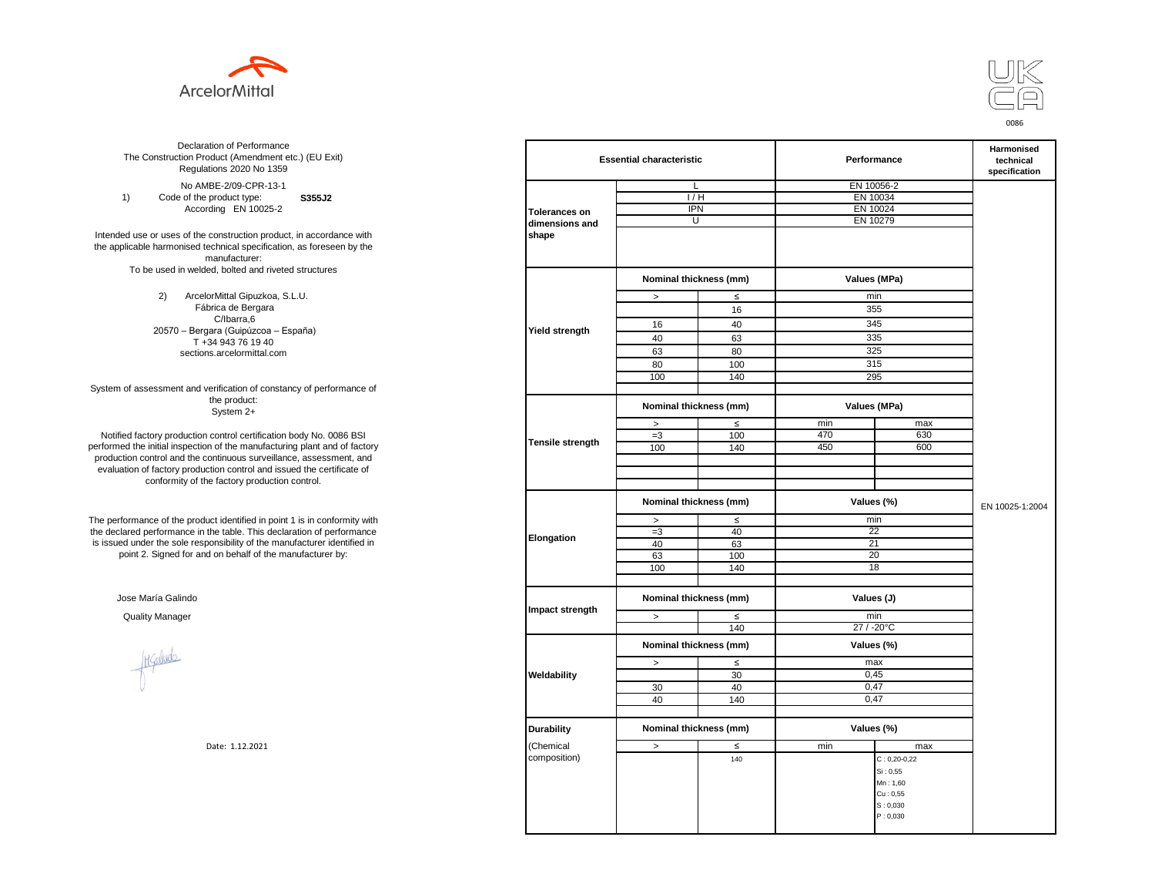



**S355J2**  No AMBE-2/09-CPR-13-1 1) Code of the product type: According EN 10025-2

Intended use or uses of the construction product, in accordance with the applicable harmonised technical specification, as foreseen by the manufacturer: To be used in welded, bolted and riveted structures

> 2) ArcelorMittal Gipuzkoa, S.L.U. Fábrica de Bergara C/Ibarra,6 20570 – Bergara (Guipúzcoa – España) T +34 943 76 19 40 sections.arcelormittal.com

System of assessment and verification of constancy of performance of the product: System 2+

Notified factory production control certification body No. 0086 BSI performed the initial inspection of the manufacturing plant and of factory production control and the continuous surveillance, assessment, and evaluation of factory production control and issued the certificate of conformity of the factory production control.

The performance of the product identified in point 1 is in conformity with the declared performance in the table. This declaration of performance is issued under the sole responsibility of the manufacturer identified in point 2. Signed for and on behalf of the manufacturer by:

Jose María Galindo

Healude

| ation of Performance<br>oduct (Amendment etc.) (EU Exit)<br>ations 2020 No 1359 |                         | <b>Essential characteristic</b> |        |            | Performance        | Harmonised<br>technical<br>specification |
|---------------------------------------------------------------------------------|-------------------------|---------------------------------|--------|------------|--------------------|------------------------------------------|
| IBE-2/09-CPR-13-1                                                               |                         | L                               |        |            | EN 10056-2         |                                          |
| product type:<br>S355J2                                                         |                         | 1/H                             |        | EN 10034   |                    |                                          |
| rding EN 10025-2                                                                |                         | <b>IPN</b>                      |        |            | EN 10024           |                                          |
|                                                                                 | <b>Tolerances on</b>    | U                               |        | EN 10279   |                    |                                          |
|                                                                                 | dimensions and          |                                 |        |            |                    |                                          |
| construction product, in accordance with                                        | shape                   |                                 |        |            |                    |                                          |
| echnical specification, as foreseen by the                                      |                         |                                 |        |            |                    |                                          |
| manufacturer:                                                                   |                         |                                 |        |            |                    |                                          |
| ed, bolted and riveted structures                                               |                         | Nominal thickness (mm)          |        |            | Values (MPa)       |                                          |
| orMittal Gipuzkoa, S.L.U.                                                       |                         | $\,$                            | $\leq$ |            | min                |                                          |
| brica de Bergara                                                                |                         |                                 | 16     |            | 355                |                                          |
| C/Ibarra,6                                                                      |                         |                                 |        |            |                    |                                          |
| jara (Guipúzcoa – España)                                                       | <b>Yield strength</b>   | 16                              | 40     |            | 345                |                                          |
| 34 943 76 19 40                                                                 |                         | 40                              | 63     |            | 335                |                                          |
|                                                                                 |                         | 63                              | 80     |            | 325                |                                          |
| ns.arcelormittal.com                                                            |                         |                                 |        |            | 315                |                                          |
|                                                                                 |                         | 80                              | 100    |            |                    |                                          |
|                                                                                 |                         | 100                             | 140    |            | 295                |                                          |
| verification of constancy of performance of                                     |                         |                                 |        |            |                    |                                          |
| the product:<br>System 2+                                                       |                         | Nominal thickness (mm)          |        |            | Values (MPa)       |                                          |
|                                                                                 |                         | $\, >$                          | $\leq$ | min        | max                |                                          |
| control certification body No. 0086 BSI                                         |                         | $=3$                            | 100    | 470        | 630                |                                          |
| in of the manufacturing plant and of factory                                    | <b>Tensile strength</b> | 100                             | 140    | 450        | 600                |                                          |
| ontinuous surveillance, assessment, and                                         |                         |                                 |        |            |                    |                                          |
| ction control and issued the certificate of                                     |                         |                                 |        |            |                    |                                          |
| e factory production control.                                                   |                         |                                 |        |            |                    |                                          |
|                                                                                 |                         |                                 |        |            |                    |                                          |
|                                                                                 |                         | Nominal thickness (mm)          |        |            | Values (%)         | EN 10025-1:2004                          |
| uct identified in point 1 is in conformity with                                 |                         | $\geq$                          | $\leq$ |            | min                |                                          |
| the table. This declaration of performance                                      |                         | $=3$                            | 40     |            | 22                 |                                          |
| ponsibility of the manufacturer identified in                                   | Elongation              | 40                              | 63     |            | 21                 |                                          |
| d on behalf of the manufacturer by:                                             |                         | 63                              | 100    |            | 20                 |                                          |
|                                                                                 |                         | 100                             | 140    |            | 18                 |                                          |
|                                                                                 |                         |                                 |        |            |                    |                                          |
|                                                                                 |                         |                                 |        |            |                    |                                          |
|                                                                                 |                         | Nominal thickness (mm)          |        | Values (J) |                    |                                          |
|                                                                                 | Impact strength         |                                 |        |            |                    |                                          |
|                                                                                 |                         | $\, >$                          | $\leq$ |            | min                |                                          |
|                                                                                 |                         |                                 | 140    |            | 27 / -20°C         |                                          |
|                                                                                 |                         | Nominal thickness (mm)          |        |            | Values (%)         |                                          |
|                                                                                 |                         |                                 |        |            |                    |                                          |
|                                                                                 |                         | $\, >$                          | ≤      |            | max                |                                          |
|                                                                                 | Weldability             |                                 | 30     |            | 0,45               |                                          |
|                                                                                 |                         | 30                              | 40     |            | 0,47               |                                          |
|                                                                                 |                         | 40                              | 140    |            | 0,47               |                                          |
|                                                                                 |                         |                                 |        |            |                    |                                          |
|                                                                                 |                         | Nominal thickness (mm)          |        |            | Values (%)         |                                          |
|                                                                                 | <b>Durability</b>       |                                 |        |            |                    |                                          |
| Date: 1.12.2021                                                                 | (Chemical               | $\, >$                          | ≤      | min        | max                |                                          |
|                                                                                 | composition)            |                                 | 140    |            | $C: 0, 20 - 0, 22$ |                                          |
|                                                                                 |                         |                                 |        |            | Si: 0,55           |                                          |
|                                                                                 |                         |                                 |        |            | Mn: 1,60           |                                          |
|                                                                                 |                         |                                 |        |            | Cu: 0,55           |                                          |
|                                                                                 |                         |                                 |        |            | S: 0,030           |                                          |
|                                                                                 |                         |                                 |        |            | P: 0,030           |                                          |
|                                                                                 |                         |                                 |        |            |                    |                                          |
|                                                                                 |                         |                                 |        |            |                    |                                          |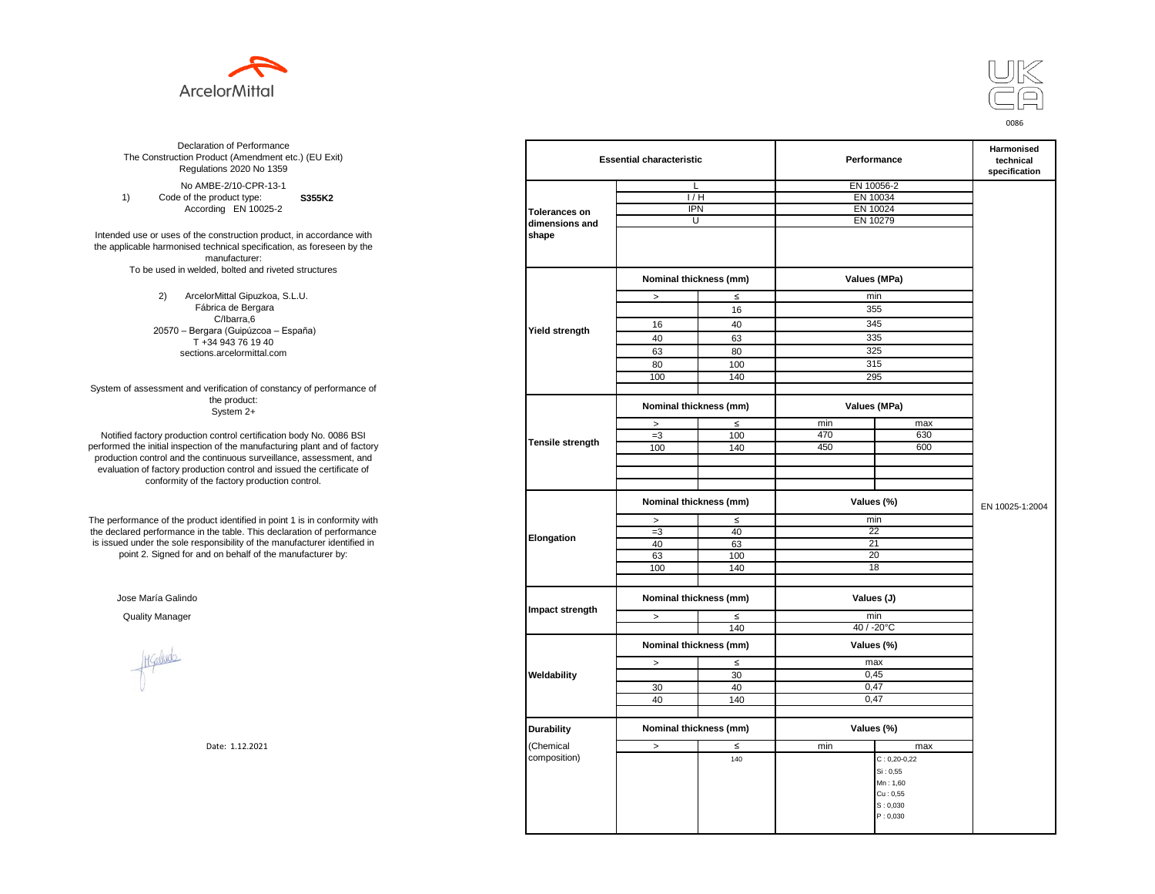



**S355K2**  No AMBE-2/10-CPR-13-1 1) Code of the product type: According EN 10025-2

Intended use or uses of the construction product, in accordance with the applicable harmonised technical specification, as foreseen by the manufacturer: To be used in welded, bolted and riveted structures

> 2) ArcelorMittal Gipuzkoa, S.L.U. Fábrica de Bergara C/Ibarra,6 20570 – Bergara (Guipúzcoa – España) T +34 943 76 19 40 sections.arcelormittal.com

System of assessment and verification of constancy of performance of the product: System 2+

Notified factory production control certification body No. 0086 BSI performed the initial inspection of the manufacturing plant and of factory production control and the continuous surveillance, assessment, and evaluation of factory production control and issued the certificate of conformity of the factory production control.

The performance of the product identified in point 1 is in conformity with the declared performance in the table. This declaration of performance is issued under the sole responsibility of the manufacturer identified in point 2. Signed for and on behalf of the manufacturer by:

Jose María Galindo

Hallude

| ation of Performance<br>oduct (Amendment etc.) (EU Exit)<br>ations 2020 No 1359                         |                      | <b>Essential characteristic</b> |                                      |          | Performance        | Harmonised<br>technical<br>specification |
|---------------------------------------------------------------------------------------------------------|----------------------|---------------------------------|--------------------------------------|----------|--------------------|------------------------------------------|
| IBE-2/10-CPR-13-1                                                                                       |                      | L                               |                                      |          | EN 10056-2         |                                          |
| product type:<br>S355K2                                                                                 |                      | 1/H                             |                                      | EN 10034 |                    |                                          |
| rding EN 10025-2                                                                                        | <b>Tolerances on</b> | <b>IPN</b>                      |                                      |          | EN 10024           |                                          |
|                                                                                                         | dimensions and       | U                               |                                      | EN 10279 |                    |                                          |
| construction product, in accordance with<br>echnical specification, as foreseen by the<br>manufacturer: | shape                |                                 |                                      |          |                    |                                          |
| ed, bolted and riveted structures                                                                       |                      | Nominal thickness (mm)          |                                      |          | Values (MPa)       |                                          |
| orMittal Gipuzkoa, S.L.U.                                                                               |                      | $\, >$                          | $\leq$                               |          | min                |                                          |
| brica de Bergara                                                                                        |                      |                                 | 16                                   |          | 355                |                                          |
| C/Ibarra,6                                                                                              |                      | 16                              | 40                                   |          | 345                |                                          |
| jara (Guipúzcoa – España)                                                                               | Yield strength       | 40                              | 63                                   |          | 335                |                                          |
| 34 943 76 19 40                                                                                         |                      |                                 |                                      |          |                    |                                          |
| ns.arcelormittal.com                                                                                    |                      | 63                              | 80                                   |          | 325                |                                          |
|                                                                                                         |                      | 80                              | 100                                  |          | 315                |                                          |
|                                                                                                         |                      | 100                             | 140                                  |          | 295                |                                          |
| verification of constancy of performance of<br>the product:<br>System 2+                                |                      | Nominal thickness (mm)          |                                      |          | Values (MPa)       |                                          |
|                                                                                                         |                      | $\, >$                          | $\leq$                               | min      | max                |                                          |
| control certification body No. 0086 BSI                                                                 |                      | $=3$                            | 100                                  | 470      | 630                |                                          |
| in of the manufacturing plant and of factory                                                            | Tensile strength     | 100                             | 140                                  | 450      | 600                |                                          |
| ontinuous surveillance, assessment, and                                                                 |                      |                                 |                                      |          |                    |                                          |
| ction control and issued the certificate of                                                             |                      |                                 |                                      |          |                    |                                          |
| e factory production control.                                                                           |                      |                                 |                                      |          |                    |                                          |
|                                                                                                         |                      |                                 |                                      |          |                    |                                          |
|                                                                                                         |                      | Nominal thickness (mm)          |                                      |          | Values (%)         | EN 10025-1:2004                          |
| uct identified in point 1 is in conformity with                                                         |                      | $\geq$                          | $\leq$                               |          | min                |                                          |
| the table. This declaration of performance                                                              | Elongation           | $=3$                            | 40                                   |          | 22                 |                                          |
| ponsibility of the manufacturer identified in                                                           |                      | 40                              | 63                                   |          | 21                 |                                          |
| d on behalf of the manufacturer by:                                                                     |                      | 63                              | 100                                  |          | 20                 |                                          |
|                                                                                                         |                      | 100                             | 140                                  |          | 18                 |                                          |
|                                                                                                         |                      |                                 |                                      |          |                    |                                          |
|                                                                                                         | Impact strength      |                                 | Nominal thickness (mm)<br>Values (J) |          |                    |                                          |
|                                                                                                         |                      | $\,>$                           | $\leq$                               |          | min                |                                          |
|                                                                                                         |                      |                                 | 140                                  |          | 40 / -20°C         |                                          |
|                                                                                                         |                      | Nominal thickness (mm)          |                                      |          | Values (%)         |                                          |
|                                                                                                         |                      | $\,>$                           | $\leq$                               |          | max                |                                          |
|                                                                                                         | Weldability          |                                 | 30                                   |          | 0,45               |                                          |
|                                                                                                         |                      | 30                              | 40                                   |          | 0,47               |                                          |
|                                                                                                         |                      | 40                              | 140                                  |          | 0,47               |                                          |
|                                                                                                         |                      |                                 |                                      |          |                    |                                          |
|                                                                                                         | <b>Durability</b>    | Nominal thickness (mm)          |                                      |          | Values (%)         |                                          |
| Date: 1.12.2021                                                                                         | (Chemical            | $\,>$                           | $\leq$                               | min      | max                |                                          |
|                                                                                                         | composition)         |                                 | 140                                  |          | $C: 0, 20 - 0, 22$ |                                          |
|                                                                                                         |                      |                                 |                                      |          | Si: 0,55           |                                          |
|                                                                                                         |                      |                                 |                                      |          | Mn: 1,60           |                                          |
|                                                                                                         |                      |                                 |                                      |          | Cu: 0,55           |                                          |
|                                                                                                         |                      |                                 |                                      |          | S: 0,030           |                                          |
|                                                                                                         |                      |                                 |                                      |          | P: 0,030           |                                          |
|                                                                                                         |                      |                                 |                                      |          |                    |                                          |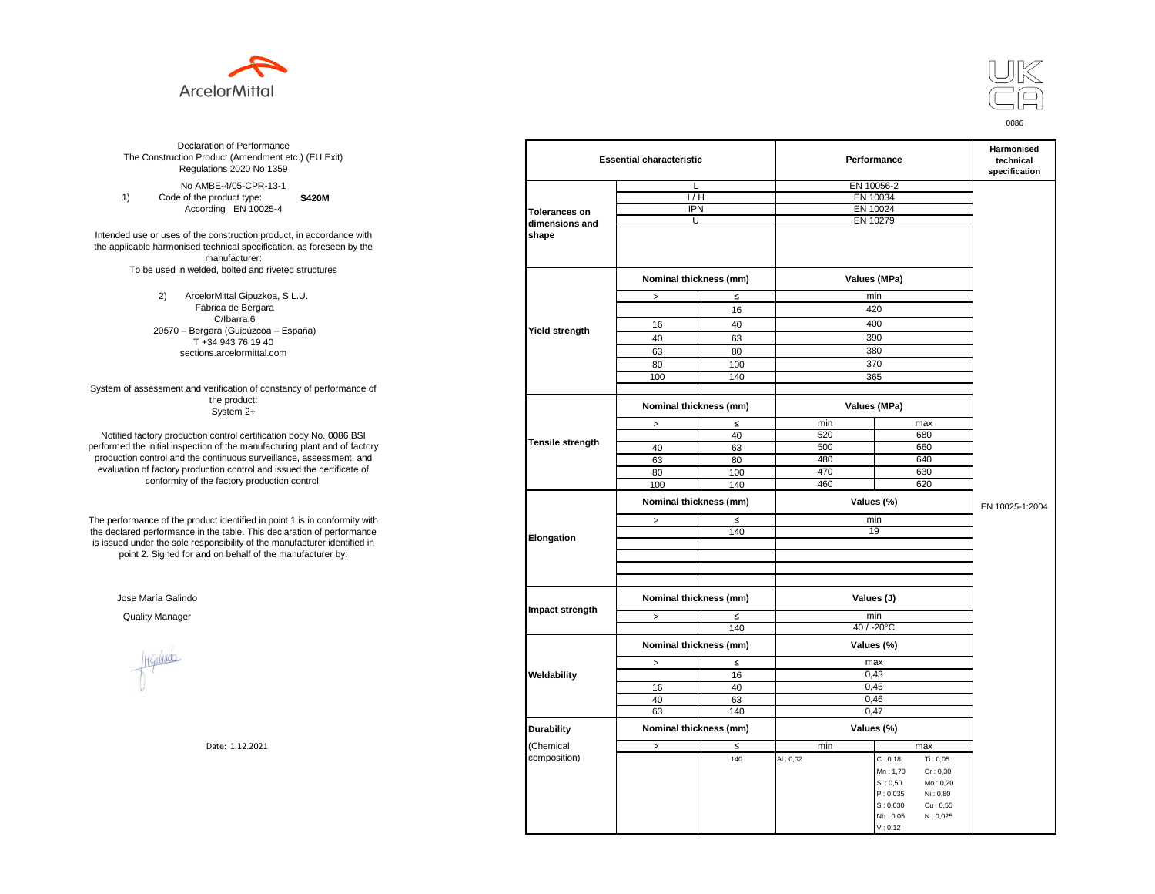



**S420M**  No AMBE-4/05-CPR-13-1 1) Code of the product type: According EN 10025-4

Intended use or uses of the construction product, in accordance with the applicable harmonised technical specification, as foreseen by the manufacturer: To be used in welded, bolted and riveted structures

> 2) ArcelorMittal Gipuzkoa, S.L.U. Fábrica de Bergara C/Ibarra,6 20570 – Bergara (Guipúzcoa – España) T +34 943 76 19 40 sections.arcelormittal.com

System of assessment and verification of constancy of performance of the product: System 2+

Notified factory production control certification body No. 0086 BSI performed the initial inspection of the manufacturing plant and of factory production control and the continuous surveillance, assessment, and evaluation of factory production control and issued the certificate of conformity of the factory production control.

The performance of the product identified in point 1 is in conformity with the declared performance in the table. This declaration of performance is issued under the sole responsibility of the manufacturer identified in point 2. Signed for and on behalf of the manufacturer by:

Jose María Galindo

Hallude

| ation of Performance<br>oduct (Amendment etc.) (EU Exit)<br>ations 2020 No 1359 | <b>Essential characteristic</b> |                        |        | Performance | Harmonised<br>technical<br>specification |                 |
|---------------------------------------------------------------------------------|---------------------------------|------------------------|--------|-------------|------------------------------------------|-----------------|
| IBE-4/05-CPR-13-1                                                               |                                 | L                      |        |             | EN 10056-2                               |                 |
| product type:<br><b>S420M</b>                                                   |                                 | 1/H                    |        | EN 10034    |                                          |                 |
| rding EN 10025-4                                                                | <b>Tolerances on</b>            | <b>IPN</b>             |        |             | EN 10024                                 |                 |
|                                                                                 | dimensions and                  | U                      |        | EN 10279    |                                          |                 |
| construction product, in accordance with                                        | shape                           |                        |        |             |                                          |                 |
| echnical specification, as foreseen by the                                      |                                 |                        |        |             |                                          |                 |
| manufacturer:                                                                   |                                 |                        |        |             |                                          |                 |
| ed, bolted and riveted structures                                               |                                 |                        |        |             |                                          |                 |
|                                                                                 |                                 | Nominal thickness (mm) |        |             | Values (MPa)                             |                 |
| orMittal Gipuzkoa, S.L.U.                                                       |                                 | $\, >$                 | $\leq$ |             | min                                      |                 |
| brica de Bergara                                                                |                                 |                        | 16     |             | 420                                      |                 |
| C/Ibarra,6                                                                      |                                 | 16                     | 40     |             | 400                                      |                 |
| jara (Guipúzcoa – España)                                                       | Yield strength                  |                        |        |             |                                          |                 |
| 34 943 76 19 40                                                                 |                                 | 40                     | 63     |             | 390                                      |                 |
| ns.arcelormittal.com                                                            |                                 | 63                     | 80     |             | 380                                      |                 |
|                                                                                 |                                 | 80                     | 100    |             | 370                                      |                 |
|                                                                                 |                                 | 100                    | 140    |             | 365                                      |                 |
| verification of constancy of performance of                                     |                                 |                        |        |             |                                          |                 |
| the product:<br>System 2+                                                       |                                 | Nominal thickness (mm) |        |             | Values (MPa)                             |                 |
|                                                                                 |                                 | $\, >$                 | $\leq$ | min         | max                                      |                 |
| control certification body No. 0086 BSI                                         |                                 |                        | 40     | 520         | 680                                      |                 |
| in of the manufacturing plant and of factory                                    | Tensile strength                | 40                     | 63     | 500         | 660                                      |                 |
| ontinuous surveillance, assessment, and                                         |                                 | 63                     | 80     | 480         | 640                                      |                 |
| ction control and issued the certificate of                                     |                                 | 80                     | 100    | 470         | 630                                      |                 |
| e factory production control.                                                   |                                 | 100                    | 140    | 460         | 620                                      |                 |
|                                                                                 |                                 | Nominal thickness (mm) |        |             | Values (%)                               |                 |
|                                                                                 |                                 |                        |        |             |                                          | EN 10025-1:2004 |
| uct identified in point 1 is in conformity with                                 | Elongation                      | $\geq$                 | $\leq$ | min         |                                          |                 |
| the table. This declaration of performance                                      |                                 |                        | 140    |             | 19                                       |                 |
| ponsibility of the manufacturer identified in                                   |                                 |                        |        |             |                                          |                 |
| d on behalf of the manufacturer by:                                             |                                 |                        |        |             |                                          |                 |
|                                                                                 |                                 |                        |        |             |                                          |                 |
|                                                                                 |                                 |                        |        |             |                                          |                 |
|                                                                                 |                                 | Nominal thickness (mm) |        | Values (J)  |                                          |                 |
|                                                                                 | Impact strength                 | $\, >$                 | $\leq$ |             | min                                      |                 |
|                                                                                 |                                 |                        | 140    |             | $40 / -20$ °C                            |                 |
|                                                                                 |                                 | Nominal thickness (mm) |        |             | Values (%)                               |                 |
|                                                                                 |                                 | $\,>$                  | $\leq$ |             | max                                      |                 |
|                                                                                 | Weldability                     |                        | 16     |             | 0,43                                     |                 |
|                                                                                 |                                 | 16                     | 40     |             | 0,45                                     |                 |
|                                                                                 |                                 | 40                     | 63     |             | 0,46                                     |                 |
|                                                                                 |                                 |                        |        |             |                                          |                 |
|                                                                                 |                                 | 63                     | 140    |             | 0,47                                     |                 |
|                                                                                 | <b>Durability</b>               | Nominal thickness (mm) |        |             | Values (%)                               |                 |
| Date: 1.12.2021                                                                 | (Chemical                       | $\,>$                  | $\leq$ | min         | max                                      |                 |
|                                                                                 | composition)                    |                        | 140    | AI: 0,02    | C: 0, 18<br>Ti: 0,05                     |                 |
|                                                                                 |                                 |                        |        |             | Mn: 1,70<br>Cr: 0,30                     |                 |
|                                                                                 |                                 |                        |        |             | Si: 0,50<br>Mo: 0,20                     |                 |
|                                                                                 |                                 |                        |        |             | P: 0,035<br>Ni: 0,80                     |                 |
|                                                                                 |                                 |                        |        |             | S: 0,030<br>Cu: 0,55                     |                 |
|                                                                                 |                                 |                        |        |             | N: 0,025<br>Nb: 0,05                     |                 |
|                                                                                 |                                 |                        |        |             | V: 0, 12                                 |                 |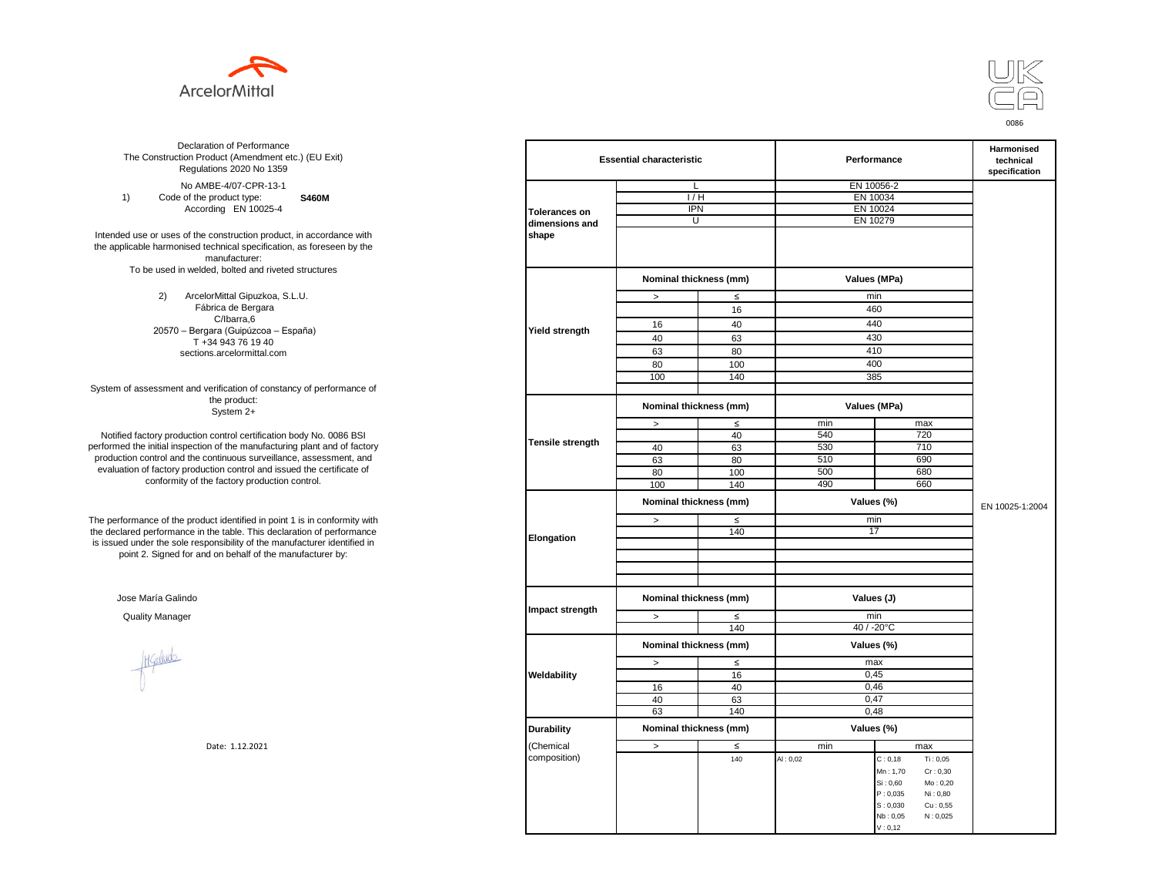



**S460M**  No AMBE-4/07-CPR-13-1 1) Code of the product type: According EN 10025-4

Intended use or uses of the construction product, in accordance with the applicable harmonised technical specification, as foreseen by the manufacturer: To be used in welded, bolted and riveted structures

> 2) ArcelorMittal Gipuzkoa, S.L.U. Fábrica de Bergara C/Ibarra,6 20570 – Bergara (Guipúzcoa – España) T +34 943 76 19 40 sections.arcelormittal.com

System of assessment and verification of constancy of performance of the product: System 2+

Notified factory production control certification body No. 0086 BSI performed the initial inspection of the manufacturing plant and of factory production control and the continuous surveillance, assessment, and evaluation of factory production control and issued the certificate of conformity of the factory production control.

The performance of the product identified in point 1 is in conformity with the declared performance in the table. This declaration of performance is issued under the sole responsibility of the manufacturer identified in point 2. Signed for and on behalf of the manufacturer by:

Jose María Galindo

Hallude

| ation of Performance<br>oduct (Amendment etc.) (EU Exit)<br>ations 2020 No 1359                         |                      | <b>Essential characteristic</b> |        |            | Performance          | Harmonised<br>technical<br>specification |
|---------------------------------------------------------------------------------------------------------|----------------------|---------------------------------|--------|------------|----------------------|------------------------------------------|
| IBE-4/07-CPR-13-1                                                                                       |                      | L                               |        |            | EN 10056-2           |                                          |
| product type:<br><b>S460M</b>                                                                           |                      | 1/H                             |        | EN 10034   |                      |                                          |
| rding EN 10025-4                                                                                        | <b>Tolerances on</b> | <b>IPN</b>                      |        |            | EN 10024             |                                          |
|                                                                                                         | dimensions and       | U                               |        | EN 10279   |                      |                                          |
| construction product, in accordance with<br>echnical specification, as foreseen by the<br>manufacturer: | shape                |                                 |        |            |                      |                                          |
| ed, bolted and riveted structures                                                                       |                      | Nominal thickness (mm)          |        |            | Values (MPa)         |                                          |
| orMittal Gipuzkoa, S.L.U.                                                                               |                      | $\, >$                          | $\leq$ |            | min                  |                                          |
| brica de Bergara                                                                                        |                      |                                 | 16     |            | 460                  |                                          |
| C/Ibarra,6                                                                                              |                      | 16                              | 40     |            | 440                  |                                          |
| jara (Guipúzcoa – España)<br>34 943 76 19 40                                                            | Yield strength       | 40                              | 63     |            | 430                  |                                          |
| ns.arcelormittal.com                                                                                    |                      | 63                              | 80     |            | 410                  |                                          |
|                                                                                                         |                      | 80                              | 100    |            | 400                  |                                          |
|                                                                                                         |                      | 100                             | 140    |            | 385                  |                                          |
| verification of constancy of performance of                                                             |                      |                                 |        |            |                      |                                          |
| the product:<br>System 2+                                                                               |                      | Nominal thickness (mm)          |        |            | Values (MPa)         |                                          |
|                                                                                                         |                      | $\, >$                          | $\leq$ | min        | max                  |                                          |
| control certification body No. 0086 BSI                                                                 |                      |                                 | 40     | 540        | 720                  |                                          |
| in of the manufacturing plant and of factory                                                            | Tensile strength     | 40                              | 63     | 530        | 710                  |                                          |
| ontinuous surveillance, assessment, and                                                                 |                      | 63                              | 80     | 510        | 690                  |                                          |
| ction control and issued the certificate of                                                             |                      | 80                              | 100    | 500        | 680                  |                                          |
| e factory production control.                                                                           |                      | 100                             | 140    | 490        | 660                  |                                          |
|                                                                                                         |                      | Nominal thickness (mm)          |        |            | Values (%)           | EN 10025-1:2004                          |
| uct identified in point 1 is in conformity with                                                         |                      | $\, >$                          | $\leq$ |            | min                  |                                          |
| the table. This declaration of performance<br>ponsibility of the manufacturer identified in             | Elongation           |                                 | 140    |            | 17                   |                                          |
| d on behalf of the manufacturer by:                                                                     |                      |                                 |        |            |                      |                                          |
|                                                                                                         |                      | Nominal thickness (mm)          |        | Values (J) |                      |                                          |
|                                                                                                         | Impact strength      |                                 |        |            |                      |                                          |
|                                                                                                         |                      | $\geq$                          | $\leq$ |            | min                  |                                          |
|                                                                                                         |                      |                                 | 140    |            | 40 / -20°C           |                                          |
|                                                                                                         |                      | Nominal thickness (mm)          |        |            | Values (%)           |                                          |
|                                                                                                         |                      | $\, >$                          | $\leq$ |            | max                  |                                          |
|                                                                                                         | Weldability          |                                 | 16     |            | 0,45                 |                                          |
|                                                                                                         |                      | 16                              | 40     |            | 0,46                 |                                          |
|                                                                                                         |                      | 40                              | 63     |            | 0,47                 |                                          |
|                                                                                                         |                      | 63                              | 140    |            | 0,48                 |                                          |
|                                                                                                         | <b>Durability</b>    | Nominal thickness (mm)          |        |            | Values (%)           |                                          |
| Date: 1.12.2021                                                                                         | Chemical             | $\,>$                           | $\leq$ | min        | max                  |                                          |
|                                                                                                         | composition)         |                                 | 140    | AI: 0,02   | C: 0, 18<br>Ti: 0,05 |                                          |
|                                                                                                         |                      |                                 |        |            | Mn: 1,70<br>Cr: 0,30 |                                          |
|                                                                                                         |                      |                                 |        |            | Si: 0,60<br>Mo: 0,20 |                                          |
|                                                                                                         |                      |                                 |        |            | P: 0,035<br>Ni: 0,80 |                                          |
|                                                                                                         |                      |                                 |        |            | S: 0,030<br>Cu: 0,55 |                                          |
|                                                                                                         |                      |                                 |        |            | Nb: 0,05<br>N: 0,025 |                                          |
|                                                                                                         |                      |                                 |        |            | V: 0, 12             |                                          |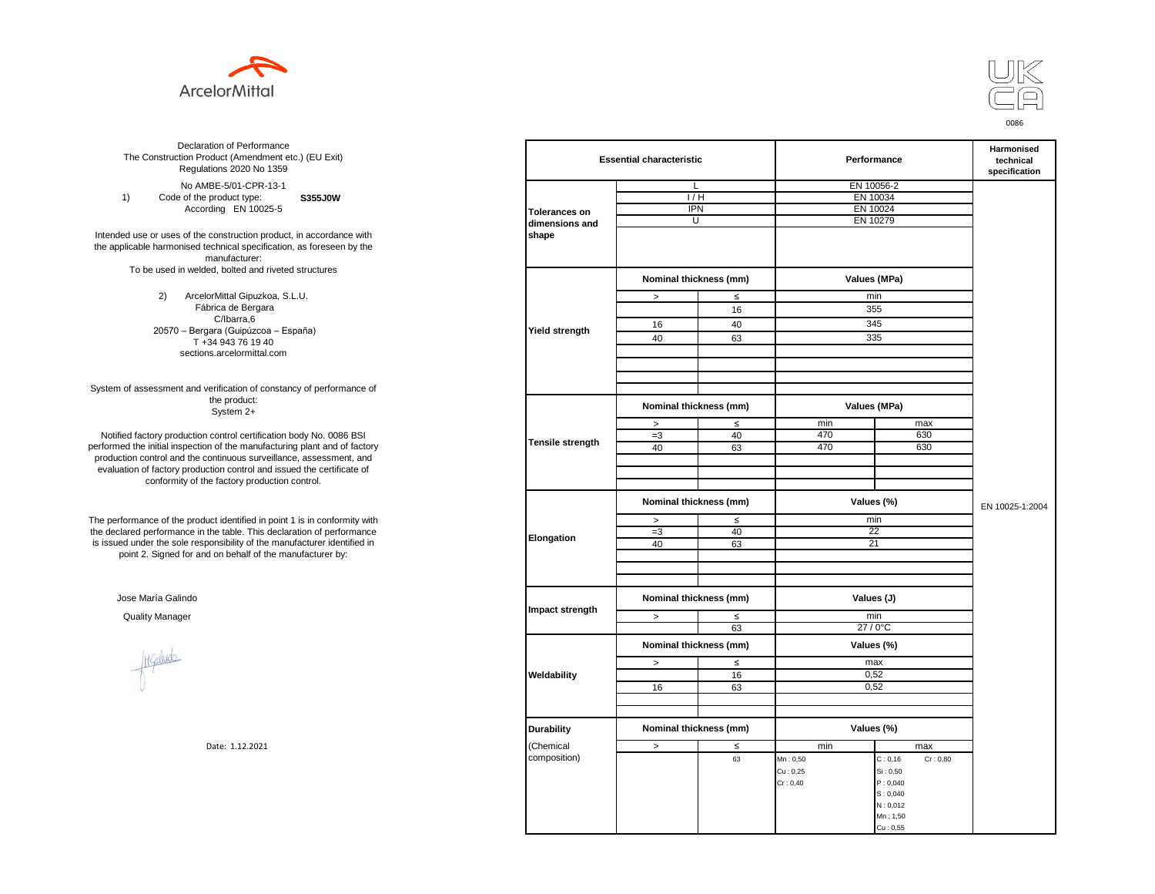



**S355J0W**  No AMBE-5/01-CPR-13-1 1) Code of the product type: According EN 10025-5

Intended use or uses of the construction product, in accordance with the applicable harmonised technical specification, as foreseen by the manufacturer: To be used in welded, bolted and riveted structures

> 2) ArcelorMittal Gipuzkoa, S.L.U. Fábrica de Bergara C/Ibarra,6 20570 – Bergara (Guipúzcoa – España) T +34 943 76 19 40 sections.arcelormittal.com

System of assessment and verification of constancy of performance of the product: System 2+

Notified factory production control certification body No. 0086 BSI performed the initial inspection of the manufacturing plant and of factory production control and the continuous surveillance, assessment, and evaluation of factory production control and issued the certificate of conformity of the factory production control.

The performance of the product identified in point 1 is in conformity with the declared performance in the table. This declaration of performance is issued under the sole responsibility of the manufacturer identified in point 2. Signed for and on behalf of the manufacturer by:

Jose María Galindo

Healudo

| ation of Performance<br>oduct (Amendment etc.) (EU Exit)<br>ations 2020 No 1359 |                      | <b>Essential characteristic</b> |                        |               | Performance          |                 |  |
|---------------------------------------------------------------------------------|----------------------|---------------------------------|------------------------|---------------|----------------------|-----------------|--|
| IBE-5/01-CPR-13-1                                                               |                      | L                               |                        | EN 10056-2    |                      |                 |  |
| product type:<br>S355J0W                                                        |                      | 1/H                             |                        | EN 10034      |                      |                 |  |
| rding EN 10025-5                                                                | <b>Tolerances on</b> | <b>IPN</b>                      |                        | EN 10024      |                      |                 |  |
|                                                                                 | dimensions and       | U                               |                        | EN 10279      |                      |                 |  |
| construction product, in accordance with                                        | shape                |                                 |                        |               |                      |                 |  |
| echnical specification, as foreseen by the                                      |                      |                                 |                        |               |                      |                 |  |
| manufacturer:                                                                   |                      |                                 |                        |               |                      |                 |  |
| ed, bolted and riveted structures                                               |                      | Nominal thickness (mm)          |                        | Values (MPa)  |                      |                 |  |
| orMittal Gipuzkoa, S.L.U.                                                       |                      | $\leq$<br>$\,$                  |                        | min           |                      |                 |  |
| brica de Bergara                                                                |                      |                                 | 16                     | 355           |                      |                 |  |
| C/Ibarra,6                                                                      |                      | 16                              | 40                     |               | 345                  |                 |  |
| jara (Guipúzcoa – España)                                                       | Yield strength       | 40                              | 63                     |               | 335                  |                 |  |
| 34 943 76 19 40                                                                 |                      |                                 |                        |               |                      |                 |  |
| ns.arcelormittal.com                                                            |                      |                                 |                        |               |                      |                 |  |
|                                                                                 |                      |                                 |                        |               |                      |                 |  |
| verification of constancy of performance of                                     |                      |                                 |                        |               |                      |                 |  |
| the product:<br>System 2+                                                       |                      |                                 | Nominal thickness (mm) |               | Values (MPa)         |                 |  |
|                                                                                 |                      | $\, >$                          | $\leq$                 | min           | max                  |                 |  |
| control certification body No. 0086 BSI                                         |                      | $=3$                            | 40                     | 470           | 630                  |                 |  |
| in of the manufacturing plant and of factory                                    | Tensile strength     | 40                              | 63                     | 470           | 630                  |                 |  |
| ontinuous surveillance, assessment, and                                         |                      |                                 |                        |               |                      |                 |  |
| ction control and issued the certificate of                                     |                      |                                 |                        |               |                      |                 |  |
| e factory production control.                                                   |                      |                                 |                        |               |                      |                 |  |
|                                                                                 |                      | Nominal thickness (mm)          |                        | Values (%)    |                      | EN 10025-1:2004 |  |
| uct identified in point 1 is in conformity with                                 |                      | $\leq$<br>$\geq$                |                        | min           |                      |                 |  |
| the table. This declaration of performance                                      | Elongation           | $=3$                            | 40                     | 22            |                      |                 |  |
| ponsibility of the manufacturer identified in                                   |                      | 40                              | 63                     |               | 21                   |                 |  |
| d on behalf of the manufacturer by:                                             |                      |                                 |                        |               |                      |                 |  |
|                                                                                 |                      |                                 |                        |               |                      |                 |  |
|                                                                                 |                      | Nominal thickness (mm)          |                        | Values (J)    |                      |                 |  |
|                                                                                 | Impact strength      |                                 |                        |               |                      |                 |  |
|                                                                                 |                      | $\,>$                           | $\leq$<br>63           | min<br>27/0°C |                      |                 |  |
|                                                                                 |                      |                                 |                        | Values (%)    |                      |                 |  |
|                                                                                 |                      | Nominal thickness (mm)          |                        |               |                      |                 |  |
|                                                                                 |                      | $\,>$                           | $\leq$                 | max           |                      |                 |  |
|                                                                                 | Weldability          | 16                              | 16<br>63               | 0,52<br>0,52  |                      |                 |  |
|                                                                                 |                      |                                 |                        |               |                      |                 |  |
|                                                                                 |                      |                                 |                        |               |                      |                 |  |
|                                                                                 | <b>Durability</b>    | Nominal thickness (mm)          |                        | Values (%)    |                      |                 |  |
| Date: 1.12.2021                                                                 | (Chemical            | $\, >$                          | $\leq$                 | min           | max                  |                 |  |
|                                                                                 | composition)         |                                 | 63                     | Mn: 0,50      | Cr: 0,80<br>C: 0, 16 |                 |  |
|                                                                                 |                      |                                 |                        | Cu: 0,25      | Si: 0,50             |                 |  |
|                                                                                 |                      |                                 |                        | Cr: 0,40      | P: 0,040             |                 |  |
|                                                                                 |                      |                                 |                        |               | S: 0,040             |                 |  |
|                                                                                 |                      |                                 |                        |               | N: 0,012             |                 |  |
|                                                                                 |                      |                                 |                        |               | Mn: 1,50<br>Cu: 0.55 |                 |  |
|                                                                                 |                      |                                 |                        |               |                      |                 |  |